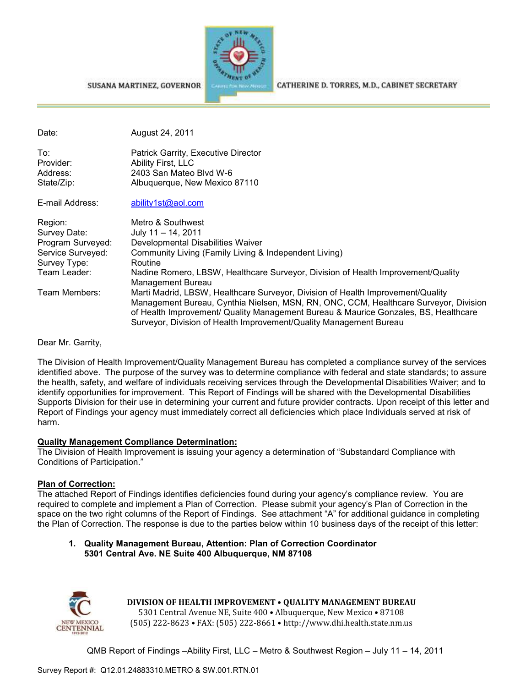



CATHERINE D. TORRES, M.D., CABINET SECRETARY

| Date:             | August 24, 2011                                                                                                                                                                                                                                                                                                                      |
|-------------------|--------------------------------------------------------------------------------------------------------------------------------------------------------------------------------------------------------------------------------------------------------------------------------------------------------------------------------------|
| To:               | Patrick Garrity, Executive Director                                                                                                                                                                                                                                                                                                  |
| Provider:         | Ability First, LLC                                                                                                                                                                                                                                                                                                                   |
| Address:          | 2403 San Mateo Blvd W-6                                                                                                                                                                                                                                                                                                              |
| State/Zip:        | Albuquerque, New Mexico 87110                                                                                                                                                                                                                                                                                                        |
| E-mail Address:   | ability1st@aol.com                                                                                                                                                                                                                                                                                                                   |
| Region:           | Metro & Southwest                                                                                                                                                                                                                                                                                                                    |
| Survey Date:      | July $11 - 14$ , 2011                                                                                                                                                                                                                                                                                                                |
| Program Surveyed: | Developmental Disabilities Waiver                                                                                                                                                                                                                                                                                                    |
| Service Surveyed: | Community Living (Family Living & Independent Living)                                                                                                                                                                                                                                                                                |
| Survey Type:      | Routine                                                                                                                                                                                                                                                                                                                              |
| Team Leader:      | Nadine Romero, LBSW, Healthcare Surveyor, Division of Health Improvement/Quality<br>Management Bureau                                                                                                                                                                                                                                |
| Team Members:     | Marti Madrid, LBSW, Healthcare Surveyor, Division of Health Improvement/Quality<br>Management Bureau, Cynthia Nielsen, MSN, RN, ONC, CCM, Healthcare Surveyor, Division<br>of Health Improvement/ Quality Management Bureau & Maurice Gonzales, BS, Healthcare<br>Surveyor, Division of Health Improvement/Quality Management Bureau |

Dear Mr. Garrity,

The Division of Health Improvement/Quality Management Bureau has completed a compliance survey of the services identified above. The purpose of the survey was to determine compliance with federal and state standards; to assure the health, safety, and welfare of individuals receiving services through the Developmental Disabilities Waiver; and to identify opportunities for improvement. This Report of Findings will be shared with the Developmental Disabilities Supports Division for their use in determining your current and future provider contracts. Upon receipt of this letter and Report of Findings your agency must immediately correct all deficiencies which place Individuals served at risk of harm.

### **Quality Management Compliance Determination:**

The Division of Health Improvement is issuing your agency a determination of "Substandard Compliance with Conditions of Participation."

### **Plan of Correction:**

The attached Report of Findings identifies deficiencies found during your agency's compliance review. You are required to complete and implement a Plan of Correction. Please submit your agency's Plan of Correction in the space on the two right columns of the Report of Findings. See attachment "A" for additional guidance in completing the Plan of Correction. The response is due to the parties below within 10 business days of the receipt of this letter:

#### **1. Quality Management Bureau, Attention: Plan of Correction Coordinator 5301 Central Ave. NE Suite 400 Albuquerque, NM 87108**



**DIVISION OF HEALTH IMPROVEMENT** • **QUALITY MANAGEMENT BUREAU** 5301 Central Avenue NE, Suite 400 • Albuquerque, New Mexico • 87108 (505) 222-8623 • FAX: (505) 222-8661 • http://www.dhi.health.state.nm.us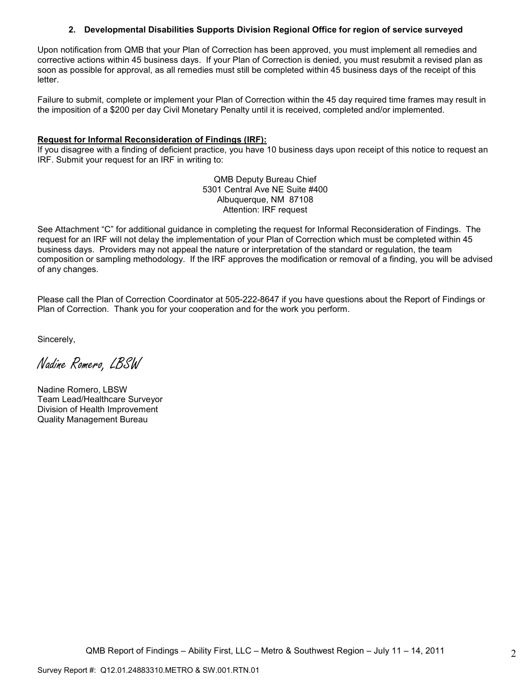#### **2. Developmental Disabilities Supports Division Regional Office for region of service surveyed**

Upon notification from QMB that your Plan of Correction has been approved, you must implement all remedies and corrective actions within 45 business days. If your Plan of Correction is denied, you must resubmit a revised plan as soon as possible for approval, as all remedies must still be completed within 45 business days of the receipt of this letter.

Failure to submit, complete or implement your Plan of Correction within the 45 day required time frames may result in the imposition of a \$200 per day Civil Monetary Penalty until it is received, completed and/or implemented.

#### **Request for Informal Reconsideration of Findings (IRF):**

If you disagree with a finding of deficient practice, you have 10 business days upon receipt of this notice to request an IRF. Submit your request for an IRF in writing to:

> QMB Deputy Bureau Chief 5301 Central Ave NE Suite #400 Albuquerque, NM 87108 Attention: IRF request

See Attachment "C" for additional guidance in completing the request for Informal Reconsideration of Findings. The request for an IRF will not delay the implementation of your Plan of Correction which must be completed within 45 business days. Providers may not appeal the nature or interpretation of the standard or regulation, the team composition or sampling methodology. If the IRF approves the modification or removal of a finding, you will be advised of any changes.

Please call the Plan of Correction Coordinator at 505-222-8647 if you have questions about the Report of Findings or Plan of Correction. Thank you for your cooperation and for the work you perform.

Sincerely,

Nadine Romero, LBSW

Nadine Romero, LBSW Team Lead/Healthcare Surveyor Division of Health Improvement Quality Management Bureau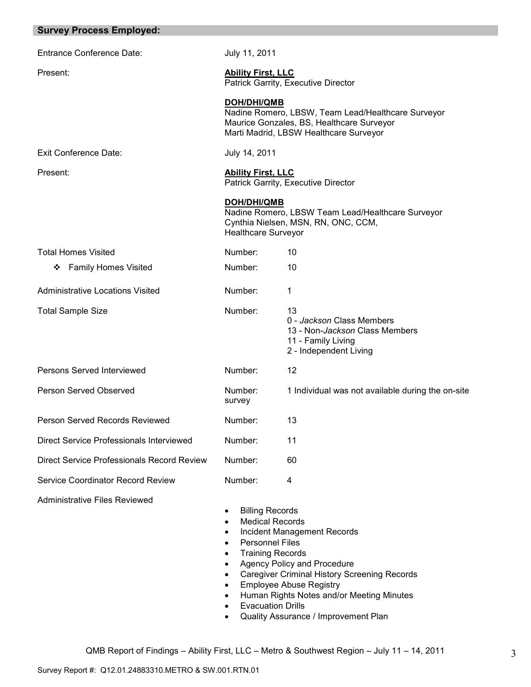| <b>Survey Process Employed:</b>                   |                                                                                                                                                                                                                   |                                                                                                                                                                                                  |
|---------------------------------------------------|-------------------------------------------------------------------------------------------------------------------------------------------------------------------------------------------------------------------|--------------------------------------------------------------------------------------------------------------------------------------------------------------------------------------------------|
| <b>Entrance Conference Date:</b>                  | July 11, 2011                                                                                                                                                                                                     |                                                                                                                                                                                                  |
| Present:                                          | <b>Ability First, LLC</b>                                                                                                                                                                                         | Patrick Garrity, Executive Director                                                                                                                                                              |
|                                                   | <b>DOH/DHI/QMB</b>                                                                                                                                                                                                | Nadine Romero, LBSW, Team Lead/Healthcare Surveyor<br>Maurice Gonzales, BS, Healthcare Surveyor<br>Marti Madrid, LBSW Healthcare Surveyor                                                        |
| <b>Exit Conference Date:</b>                      | July 14, 2011                                                                                                                                                                                                     |                                                                                                                                                                                                  |
| Present:                                          | <b>Ability First, LLC</b>                                                                                                                                                                                         | Patrick Garrity, Executive Director                                                                                                                                                              |
|                                                   | DOH/DHI/QMB<br><b>Healthcare Surveyor</b>                                                                                                                                                                         | Nadine Romero, LBSW Team Lead/Healthcare Surveyor<br>Cynthia Nielsen, MSN, RN, ONC, CCM,                                                                                                         |
| <b>Total Homes Visited</b>                        | Number:                                                                                                                                                                                                           | 10                                                                                                                                                                                               |
| ❖ Family Homes Visited                            | Number:                                                                                                                                                                                                           | 10                                                                                                                                                                                               |
| Administrative Locations Visited                  | Number:                                                                                                                                                                                                           | 1                                                                                                                                                                                                |
| <b>Total Sample Size</b>                          | Number:                                                                                                                                                                                                           | 13<br>0 - Jackson Class Members<br>13 - Non-Jackson Class Members<br>11 - Family Living<br>2 - Independent Living                                                                                |
| Persons Served Interviewed                        | Number:                                                                                                                                                                                                           | 12                                                                                                                                                                                               |
| <b>Person Served Observed</b>                     | Number:<br>survey                                                                                                                                                                                                 | 1 Individual was not available during the on-site                                                                                                                                                |
| Person Served Records Reviewed                    | Number:                                                                                                                                                                                                           | 13                                                                                                                                                                                               |
| Direct Service Professionals Interviewed          | Number:                                                                                                                                                                                                           | 11                                                                                                                                                                                               |
| <b>Direct Service Professionals Record Review</b> | Number:                                                                                                                                                                                                           | 60                                                                                                                                                                                               |
| <b>Service Coordinator Record Review</b>          | Number:                                                                                                                                                                                                           | 4                                                                                                                                                                                                |
| <b>Administrative Files Reviewed</b>              | <b>Billing Records</b><br><b>Medical Records</b><br>٠<br>٠<br><b>Personnel Files</b><br>٠<br><b>Training Records</b><br>$\bullet$<br>$\bullet$<br>$\bullet$<br>$\bullet$<br>$\bullet$<br><b>Evacuation Drills</b> | Incident Management Records<br>Agency Policy and Procedure<br><b>Caregiver Criminal History Screening Records</b><br><b>Employee Abuse Registry</b><br>Human Rights Notes and/or Meeting Minutes |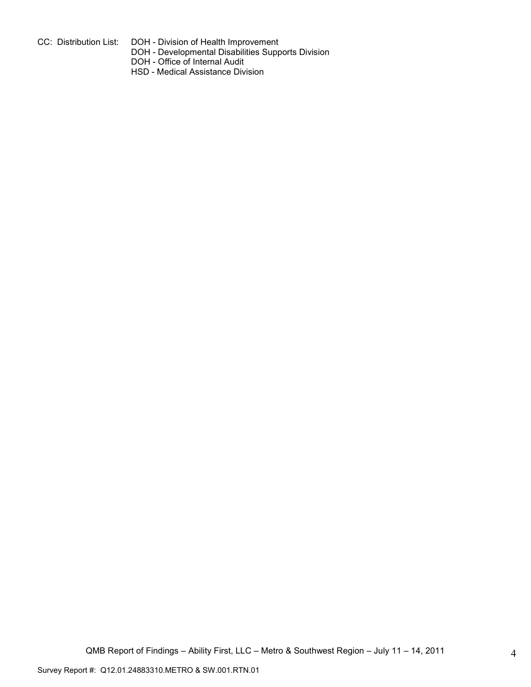- 
- CC: Distribution List: DOH Division of Health Improvement
	- DOH Developmental Disabilities Supports Division
	- DOH Office of Internal Audit
	- HSD Medical Assistance Division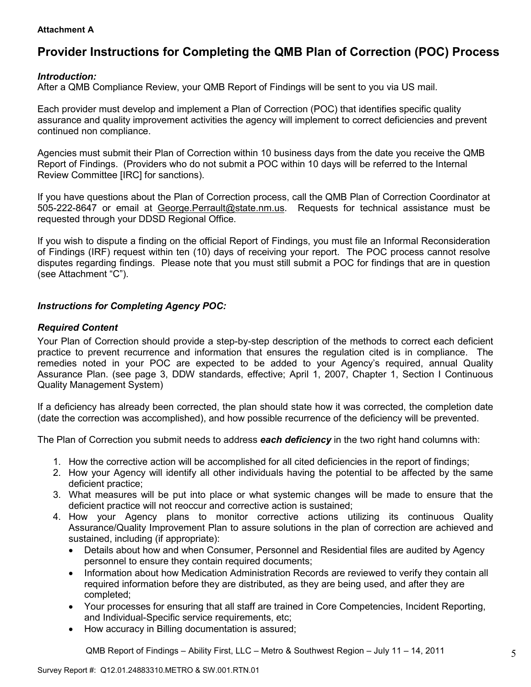### **Attachment A**

# **Provider Instructions for Completing the QMB Plan of Correction (POC) Process**

# *Introduction:*

After a QMB Compliance Review, your QMB Report of Findings will be sent to you via US mail.

Each provider must develop and implement a Plan of Correction (POC) that identifies specific quality assurance and quality improvement activities the agency will implement to correct deficiencies and prevent continued non compliance.

Agencies must submit their Plan of Correction within 10 business days from the date you receive the QMB Report of Findings. (Providers who do not submit a POC within 10 days will be referred to the Internal Review Committee [IRC] for sanctions).

If you have questions about the Plan of Correction process, call the QMB Plan of Correction Coordinator at 505-222-8647 or email at George.Perrault@state.nm.us. Requests for technical assistance must be requested through your DDSD Regional Office.

If you wish to dispute a finding on the official Report of Findings, you must file an Informal Reconsideration of Findings (IRF) request within ten (10) days of receiving your report. The POC process cannot resolve disputes regarding findings. Please note that you must still submit a POC for findings that are in question (see Attachment "C").

# *Instructions for Completing Agency POC:*

# *Required Content*

Your Plan of Correction should provide a step-by-step description of the methods to correct each deficient practice to prevent recurrence and information that ensures the regulation cited is in compliance. The remedies noted in your POC are expected to be added to your Agency's required, annual Quality Assurance Plan. (see page 3, DDW standards, effective; April 1, 2007, Chapter 1, Section I Continuous Quality Management System)

If a deficiency has already been corrected, the plan should state how it was corrected, the completion date (date the correction was accomplished), and how possible recurrence of the deficiency will be prevented.

The Plan of Correction you submit needs to address *each deficiency* in the two right hand columns with:

- 1. How the corrective action will be accomplished for all cited deficiencies in the report of findings;
- 2. How your Agency will identify all other individuals having the potential to be affected by the same deficient practice;
- 3. What measures will be put into place or what systemic changes will be made to ensure that the deficient practice will not reoccur and corrective action is sustained;
- 4. How your Agency plans to monitor corrective actions utilizing its continuous Quality Assurance/Quality Improvement Plan to assure solutions in the plan of correction are achieved and sustained, including (if appropriate):
	- Details about how and when Consumer, Personnel and Residential files are audited by Agency personnel to ensure they contain required documents;
	- Information about how Medication Administration Records are reviewed to verify they contain all required information before they are distributed, as they are being used, and after they are completed;
	- Your processes for ensuring that all staff are trained in Core Competencies, Incident Reporting, and Individual-Specific service requirements, etc;
	- How accuracy in Billing documentation is assured;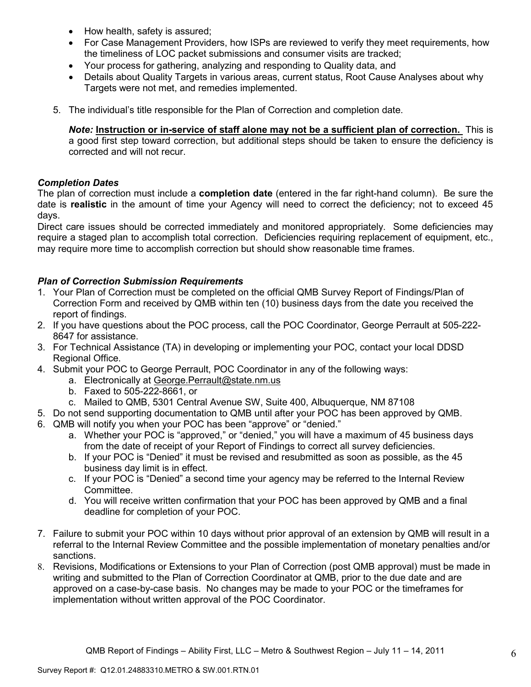- How health, safety is assured;
- For Case Management Providers, how ISPs are reviewed to verify they meet requirements, how the timeliness of LOC packet submissions and consumer visits are tracked;
- Your process for gathering, analyzing and responding to Quality data, and
- Details about Quality Targets in various areas, current status, Root Cause Analyses about why Targets were not met, and remedies implemented.
- 5. The individual's title responsible for the Plan of Correction and completion date.

*Note:* **Instruction or in-service of staff alone may not be a sufficient plan of correction.** This is a good first step toward correction, but additional steps should be taken to ensure the deficiency is corrected and will not recur.

# *Completion Dates*

The plan of correction must include a **completion date** (entered in the far right-hand column). Be sure the date is **realistic** in the amount of time your Agency will need to correct the deficiency; not to exceed 45 days.

Direct care issues should be corrected immediately and monitored appropriately. Some deficiencies may require a staged plan to accomplish total correction. Deficiencies requiring replacement of equipment, etc., may require more time to accomplish correction but should show reasonable time frames.

# *Plan of Correction Submission Requirements*

- 1. Your Plan of Correction must be completed on the official QMB Survey Report of Findings/Plan of Correction Form and received by QMB within ten (10) business days from the date you received the report of findings.
- 2. If you have questions about the POC process, call the POC Coordinator, George Perrault at 505-222- 8647 for assistance.
- 3. For Technical Assistance (TA) in developing or implementing your POC, contact your local DDSD Regional Office.
- 4. Submit your POC to George Perrault, POC Coordinator in any of the following ways:
	- a. Electronically at George.Perrault@state.nm.us
	- b. Faxed to 505-222-8661, or
	- c. Mailed to QMB, 5301 Central Avenue SW, Suite 400, Albuquerque, NM 87108
- 5. Do not send supporting documentation to QMB until after your POC has been approved by QMB.
- 6. QMB will notify you when your POC has been "approve" or "denied."
	- a. Whether your POC is "approved," or "denied," you will have a maximum of 45 business days from the date of receipt of your Report of Findings to correct all survey deficiencies.
	- b. If your POC is "Denied" it must be revised and resubmitted as soon as possible, as the 45 business day limit is in effect.
	- c. If your POC is "Denied" a second time your agency may be referred to the Internal Review Committee.
	- d. You will receive written confirmation that your POC has been approved by QMB and a final deadline for completion of your POC.
- 7. Failure to submit your POC within 10 days without prior approval of an extension by QMB will result in a referral to the Internal Review Committee and the possible implementation of monetary penalties and/or sanctions.
- 8. Revisions, Modifications or Extensions to your Plan of Correction (post QMB approval) must be made in writing and submitted to the Plan of Correction Coordinator at QMB, prior to the due date and are approved on a case-by-case basis. No changes may be made to your POC or the timeframes for implementation without written approval of the POC Coordinator.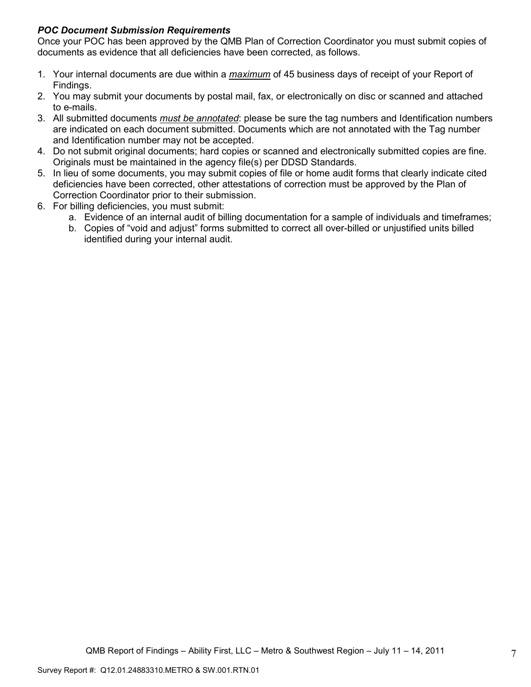# *POC Document Submission Requirements*

Once your POC has been approved by the QMB Plan of Correction Coordinator you must submit copies of documents as evidence that all deficiencies have been corrected, as follows.

- 1. Your internal documents are due within a *maximum* of 45 business days of receipt of your Report of Findings.
- 2. You may submit your documents by postal mail, fax, or electronically on disc or scanned and attached to e-mails.
- 3. All submitted documents *must be annotated*: please be sure the tag numbers and Identification numbers are indicated on each document submitted. Documents which are not annotated with the Tag number and Identification number may not be accepted.
- 4. Do not submit original documents; hard copies or scanned and electronically submitted copies are fine. Originals must be maintained in the agency file(s) per DDSD Standards.
- 5. In lieu of some documents, you may submit copies of file or home audit forms that clearly indicate cited deficiencies have been corrected, other attestations of correction must be approved by the Plan of Correction Coordinator prior to their submission.
- 6. For billing deficiencies, you must submit:
	- a. Evidence of an internal audit of billing documentation for a sample of individuals and timeframes;
	- b. Copies of "void and adjust" forms submitted to correct all over-billed or unjustified units billed identified during your internal audit.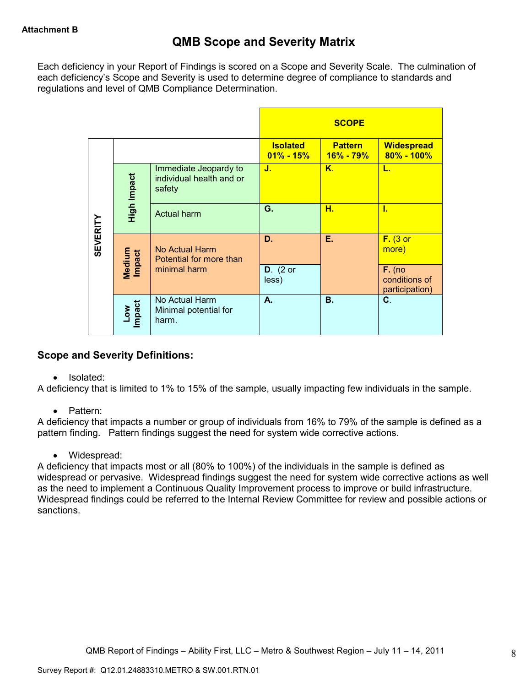Each deficiency in your Report of Findings is scored on a Scope and Severity Scale. The culmination of each deficiency's Scope and Severity is used to determine degree of compliance to standards and regulations and level of QMB Compliance Determination.

|                 |                      |                                                             |                                  | <b>SCOPE</b>                    |                                             |
|-----------------|----------------------|-------------------------------------------------------------|----------------------------------|---------------------------------|---------------------------------------------|
|                 |                      |                                                             | <b>Isolated</b><br>$01\% - 15\%$ | <b>Pattern</b><br>$16\% - 79\%$ | <b>Widespread</b><br>$80\% - 100\%$         |
|                 | High Impact          | Immediate Jeopardy to<br>individual health and or<br>safety | J.                               | $K_{\cdot}$                     | L.                                          |
|                 |                      | <b>Actual harm</b>                                          | G.                               | н.                              | ī.                                          |
| <b>SEVERITY</b> | Medium<br>Impact     | No Actual Harm<br>Potential for more than                   | D.                               | Е.                              | $F.$ (3 or<br>more)                         |
|                 |                      | minimal harm                                                | $D.$ (2 or<br>less)              |                                 | $F.$ (no<br>conditions of<br>participation) |
|                 | <b>Impact</b><br>Low | No Actual Harm<br>Minimal potential for<br>harm.            | А.                               | <b>B.</b>                       | C.                                          |

# **Scope and Severity Definitions:**

• Isolated:

A deficiency that is limited to 1% to 15% of the sample, usually impacting few individuals in the sample.

• Pattern:

A deficiency that impacts a number or group of individuals from 16% to 79% of the sample is defined as a pattern finding. Pattern findings suggest the need for system wide corrective actions.

• Widespread:

A deficiency that impacts most or all (80% to 100%) of the individuals in the sample is defined as widespread or pervasive. Widespread findings suggest the need for system wide corrective actions as well as the need to implement a Continuous Quality Improvement process to improve or build infrastructure. Widespread findings could be referred to the Internal Review Committee for review and possible actions or sanctions.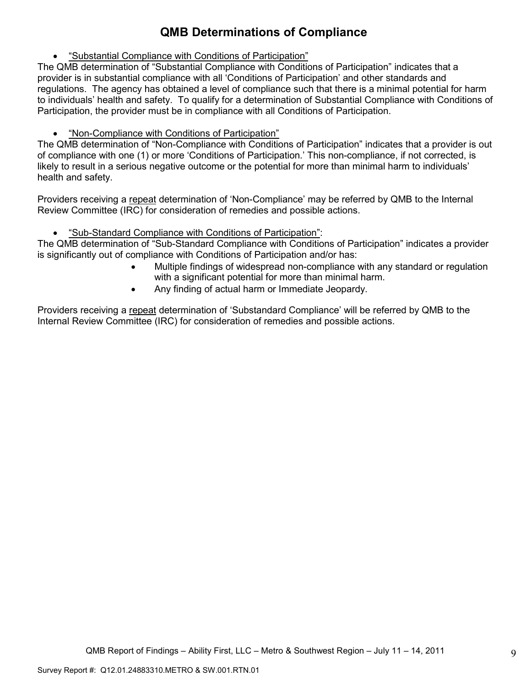# **QMB Determinations of Compliance**

• "Substantial Compliance with Conditions of Participation"

The QMB determination of "Substantial Compliance with Conditions of Participation" indicates that a provider is in substantial compliance with all 'Conditions of Participation' and other standards and regulations. The agency has obtained a level of compliance such that there is a minimal potential for harm to individuals' health and safety. To qualify for a determination of Substantial Compliance with Conditions of Participation, the provider must be in compliance with all Conditions of Participation.

• "Non-Compliance with Conditions of Participation"

The QMB determination of "Non-Compliance with Conditions of Participation" indicates that a provider is out of compliance with one (1) or more 'Conditions of Participation.' This non-compliance, if not corrected, is likely to result in a serious negative outcome or the potential for more than minimal harm to individuals' health and safety.

Providers receiving a repeat determination of 'Non-Compliance' may be referred by QMB to the Internal Review Committee (IRC) for consideration of remedies and possible actions.

• "Sub-Standard Compliance with Conditions of Participation":

The QMB determination of "Sub-Standard Compliance with Conditions of Participation" indicates a provider is significantly out of compliance with Conditions of Participation and/or has:

- Multiple findings of widespread non-compliance with any standard or regulation with a significant potential for more than minimal harm.
- Any finding of actual harm or Immediate Jeopardy.

Providers receiving a repeat determination of 'Substandard Compliance' will be referred by QMB to the Internal Review Committee (IRC) for consideration of remedies and possible actions.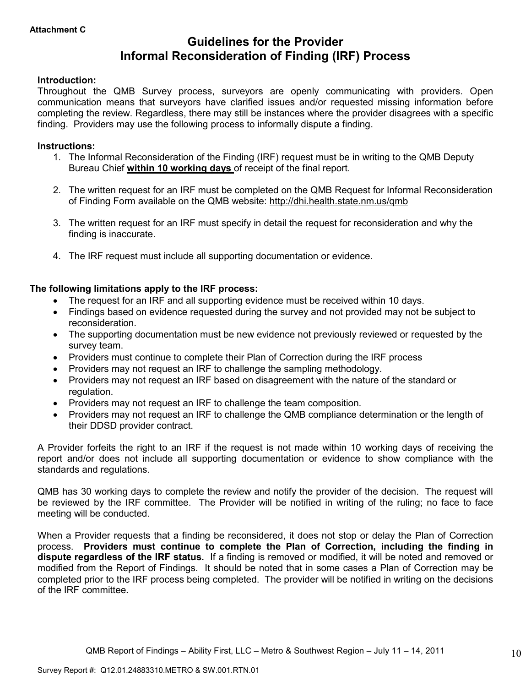# **Guidelines for the Provider Informal Reconsideration of Finding (IRF) Process**

# **Introduction:**

Throughout the QMB Survey process, surveyors are openly communicating with providers. Open communication means that surveyors have clarified issues and/or requested missing information before completing the review. Regardless, there may still be instances where the provider disagrees with a specific finding. Providers may use the following process to informally dispute a finding.

### **Instructions:**

- 1. The Informal Reconsideration of the Finding (IRF) request must be in writing to the QMB Deputy Bureau Chief **within 10 working days** of receipt of the final report.
- 2. The written request for an IRF must be completed on the QMB Request for Informal Reconsideration of Finding Form available on the QMB website: http://dhi.health.state.nm.us/qmb
- 3. The written request for an IRF must specify in detail the request for reconsideration and why the finding is inaccurate.
- 4. The IRF request must include all supporting documentation or evidence.

# **The following limitations apply to the IRF process:**

- The request for an IRF and all supporting evidence must be received within 10 days.
- Findings based on evidence requested during the survey and not provided may not be subject to reconsideration.
- The supporting documentation must be new evidence not previously reviewed or requested by the survey team.
- Providers must continue to complete their Plan of Correction during the IRF process
- Providers may not request an IRF to challenge the sampling methodology.
- Providers may not request an IRF based on disagreement with the nature of the standard or regulation.
- Providers may not request an IRF to challenge the team composition.
- Providers may not request an IRF to challenge the QMB compliance determination or the length of their DDSD provider contract.

A Provider forfeits the right to an IRF if the request is not made within 10 working days of receiving the report and/or does not include all supporting documentation or evidence to show compliance with the standards and regulations.

QMB has 30 working days to complete the review and notify the provider of the decision. The request will be reviewed by the IRF committee. The Provider will be notified in writing of the ruling; no face to face meeting will be conducted.

When a Provider requests that a finding be reconsidered, it does not stop or delay the Plan of Correction process. **Providers must continue to complete the Plan of Correction, including the finding in dispute regardless of the IRF status.** If a finding is removed or modified, it will be noted and removed or modified from the Report of Findings. It should be noted that in some cases a Plan of Correction may be completed prior to the IRF process being completed. The provider will be notified in writing on the decisions of the IRF committee.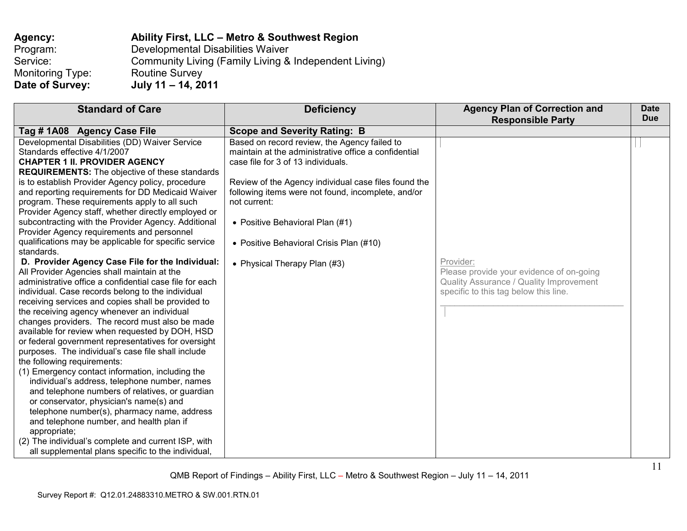| Agency:          | Ability First, LLC - Metro & Southwest Region         |
|------------------|-------------------------------------------------------|
| Program:         | Developmental Disabilities Waiver                     |
| Service:         | Community Living (Family Living & Independent Living) |
| Monitoring Type: | <b>Routine Survey</b>                                 |
| Date of Survey:  | July 11 - 14, 2011                                    |

| <b>Standard of Care</b>                                                                                                                                                                                                                                                                                                                                                                                                                                                                                                                                                                                                                                                                                                                                                                                                                                                                                                                                                                                                                                                                                                                                                                                                                                                                                                                                                                                                                                                                                                                                                            | <b>Deficiency</b>                                                                                                                                                                                                                                                                                                                                                                      | <b>Agency Plan of Correction and</b><br><b>Responsible Party</b>                                                                          | <b>Date</b><br><b>Due</b> |
|------------------------------------------------------------------------------------------------------------------------------------------------------------------------------------------------------------------------------------------------------------------------------------------------------------------------------------------------------------------------------------------------------------------------------------------------------------------------------------------------------------------------------------------------------------------------------------------------------------------------------------------------------------------------------------------------------------------------------------------------------------------------------------------------------------------------------------------------------------------------------------------------------------------------------------------------------------------------------------------------------------------------------------------------------------------------------------------------------------------------------------------------------------------------------------------------------------------------------------------------------------------------------------------------------------------------------------------------------------------------------------------------------------------------------------------------------------------------------------------------------------------------------------------------------------------------------------|----------------------------------------------------------------------------------------------------------------------------------------------------------------------------------------------------------------------------------------------------------------------------------------------------------------------------------------------------------------------------------------|-------------------------------------------------------------------------------------------------------------------------------------------|---------------------------|
| Tag #1A08 Agency Case File                                                                                                                                                                                                                                                                                                                                                                                                                                                                                                                                                                                                                                                                                                                                                                                                                                                                                                                                                                                                                                                                                                                                                                                                                                                                                                                                                                                                                                                                                                                                                         | <b>Scope and Severity Rating: B</b>                                                                                                                                                                                                                                                                                                                                                    |                                                                                                                                           |                           |
| Developmental Disabilities (DD) Waiver Service<br>Standards effective 4/1/2007<br><b>CHAPTER 1 II. PROVIDER AGENCY</b><br><b>REQUIREMENTS:</b> The objective of these standards<br>is to establish Provider Agency policy, procedure<br>and reporting requirements for DD Medicaid Waiver<br>program. These requirements apply to all such<br>Provider Agency staff, whether directly employed or<br>subcontracting with the Provider Agency. Additional<br>Provider Agency requirements and personnel<br>qualifications may be applicable for specific service<br>standards.<br>D. Provider Agency Case File for the Individual:<br>All Provider Agencies shall maintain at the<br>administrative office a confidential case file for each<br>individual. Case records belong to the individual<br>receiving services and copies shall be provided to<br>the receiving agency whenever an individual<br>changes providers. The record must also be made<br>available for review when requested by DOH, HSD<br>or federal government representatives for oversight<br>purposes. The individual's case file shall include<br>the following requirements:<br>(1) Emergency contact information, including the<br>individual's address, telephone number, names<br>and telephone numbers of relatives, or guardian<br>or conservator, physician's name(s) and<br>telephone number(s), pharmacy name, address<br>and telephone number, and health plan if<br>appropriate;<br>(2) The individual's complete and current ISP, with<br>all supplemental plans specific to the individual, | Based on record review, the Agency failed to<br>maintain at the administrative office a confidential<br>case file for 3 of 13 individuals.<br>Review of the Agency individual case files found the<br>following items were not found, incomplete, and/or<br>not current:<br>• Positive Behavioral Plan (#1)<br>• Positive Behavioral Crisis Plan (#10)<br>• Physical Therapy Plan (#3) | Provider:<br>Please provide your evidence of on-going<br>Quality Assurance / Quality Improvement<br>specific to this tag below this line. |                           |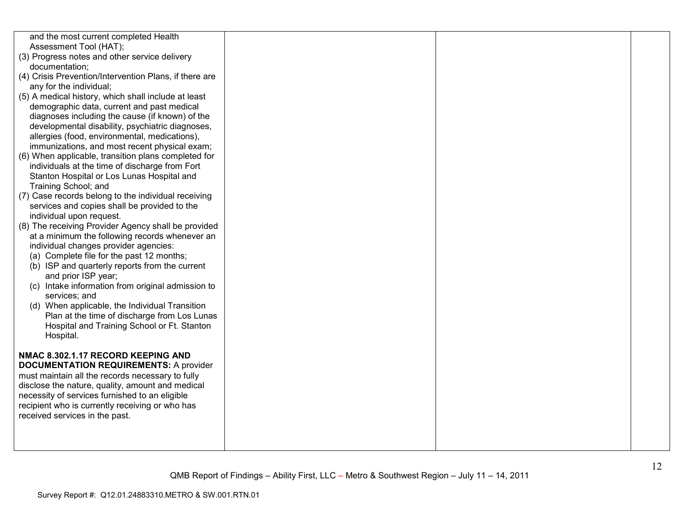| and the most current completed Health<br>Assessment Tool (HAT);<br>(3) Progress notes and other service delivery<br>documentation;<br>(4) Crisis Prevention/Intervention Plans, if there are<br>any for the individual;<br>(5) A medical history, which shall include at least<br>demographic data, current and past medical<br>diagnoses including the cause (if known) of the<br>developmental disability, psychiatric diagnoses,<br>allergies (food, environmental, medications),<br>immunizations, and most recent physical exam;<br>(6) When applicable, transition plans completed for<br>individuals at the time of discharge from Fort<br>Stanton Hospital or Los Lunas Hospital and<br>Training School; and<br>(7) Case records belong to the individual receiving<br>services and copies shall be provided to the<br>individual upon request.<br>(8) The receiving Provider Agency shall be provided<br>at a minimum the following records whenever an<br>individual changes provider agencies:<br>(a) Complete file for the past 12 months;<br>(b) ISP and quarterly reports from the current<br>and prior ISP year;<br>(c) Intake information from original admission to<br>services; and<br>(d) When applicable, the Individual Transition<br>Plan at the time of discharge from Los Lunas<br>Hospital and Training School or Ft. Stanton<br>Hospital.<br>NMAC 8.302.1.17 RECORD KEEPING AND |  |  |
|-----------------------------------------------------------------------------------------------------------------------------------------------------------------------------------------------------------------------------------------------------------------------------------------------------------------------------------------------------------------------------------------------------------------------------------------------------------------------------------------------------------------------------------------------------------------------------------------------------------------------------------------------------------------------------------------------------------------------------------------------------------------------------------------------------------------------------------------------------------------------------------------------------------------------------------------------------------------------------------------------------------------------------------------------------------------------------------------------------------------------------------------------------------------------------------------------------------------------------------------------------------------------------------------------------------------------------------------------------------------------------------------------------------|--|--|
|                                                                                                                                                                                                                                                                                                                                                                                                                                                                                                                                                                                                                                                                                                                                                                                                                                                                                                                                                                                                                                                                                                                                                                                                                                                                                                                                                                                                           |  |  |
| <b>DOCUMENTATION REQUIREMENTS: A provider</b><br>must maintain all the records necessary to fully<br>disclose the nature, quality, amount and medical<br>necessity of services furnished to an eligible<br>recipient who is currently receiving or who has<br>received services in the past.                                                                                                                                                                                                                                                                                                                                                                                                                                                                                                                                                                                                                                                                                                                                                                                                                                                                                                                                                                                                                                                                                                              |  |  |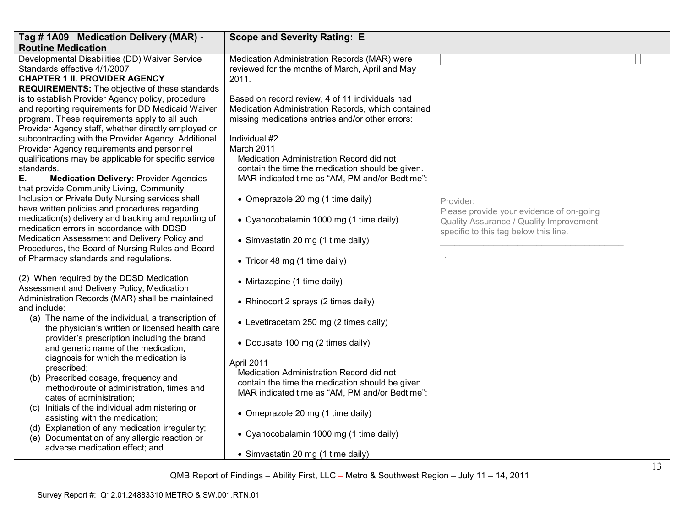| Tag # 1A09 Medication Delivery (MAR) -                                                                                 | <b>Scope and Severity Rating: E</b>                                                                      |                                                                                     |  |
|------------------------------------------------------------------------------------------------------------------------|----------------------------------------------------------------------------------------------------------|-------------------------------------------------------------------------------------|--|
| <b>Routine Medication</b>                                                                                              |                                                                                                          |                                                                                     |  |
| Developmental Disabilities (DD) Waiver Service<br>Standards effective 4/1/2007<br><b>CHAPTER 1 II. PROVIDER AGENCY</b> | Medication Administration Records (MAR) were<br>reviewed for the months of March, April and May<br>2011. |                                                                                     |  |
| <b>REQUIREMENTS:</b> The objective of these standards                                                                  |                                                                                                          |                                                                                     |  |
| is to establish Provider Agency policy, procedure                                                                      | Based on record review, 4 of 11 individuals had                                                          |                                                                                     |  |
| and reporting requirements for DD Medicaid Waiver                                                                      | Medication Administration Records, which contained                                                       |                                                                                     |  |
| program. These requirements apply to all such                                                                          | missing medications entries and/or other errors:                                                         |                                                                                     |  |
| Provider Agency staff, whether directly employed or<br>subcontracting with the Provider Agency. Additional             | Individual #2                                                                                            |                                                                                     |  |
| Provider Agency requirements and personnel                                                                             | March 2011                                                                                               |                                                                                     |  |
| qualifications may be applicable for specific service                                                                  | Medication Administration Record did not                                                                 |                                                                                     |  |
| standards.                                                                                                             | contain the time the medication should be given.                                                         |                                                                                     |  |
| Ε.<br><b>Medication Delivery: Provider Agencies</b><br>that provide Community Living, Community                        | MAR indicated time as "AM, PM and/or Bedtime":                                                           |                                                                                     |  |
| Inclusion or Private Duty Nursing services shall<br>have written policies and procedures regarding                     | • Omeprazole 20 mg (1 time daily)                                                                        | Provider:                                                                           |  |
| medication(s) delivery and tracking and reporting of<br>medication errors in accordance with DDSD                      | • Cyanocobalamin 1000 mg (1 time daily)                                                                  | Please provide your evidence of on-going<br>Quality Assurance / Quality Improvement |  |
| Medication Assessment and Delivery Policy and                                                                          | • Simvastatin 20 mg (1 time daily)                                                                       | specific to this tag below this line.                                               |  |
| Procedures, the Board of Nursing Rules and Board                                                                       |                                                                                                          |                                                                                     |  |
| of Pharmacy standards and regulations.                                                                                 | • Tricor 48 mg (1 time daily)                                                                            |                                                                                     |  |
| (2) When required by the DDSD Medication<br>Assessment and Delivery Policy, Medication                                 | • Mirtazapine (1 time daily)                                                                             |                                                                                     |  |
| Administration Records (MAR) shall be maintained<br>and include:                                                       | • Rhinocort 2 sprays (2 times daily)                                                                     |                                                                                     |  |
| (a) The name of the individual, a transcription of<br>the physician's written or licensed health care                  | • Levetiracetam 250 mg (2 times daily)                                                                   |                                                                                     |  |
| provider's prescription including the brand<br>and generic name of the medication,                                     | • Docusate 100 mg (2 times daily)                                                                        |                                                                                     |  |
| diagnosis for which the medication is                                                                                  | April 2011                                                                                               |                                                                                     |  |
| prescribed;                                                                                                            | Medication Administration Record did not                                                                 |                                                                                     |  |
| (b) Prescribed dosage, frequency and<br>method/route of administration, times and                                      | contain the time the medication should be given.                                                         |                                                                                     |  |
| dates of administration;                                                                                               | MAR indicated time as "AM, PM and/or Bedtime":                                                           |                                                                                     |  |
| (c) Initials of the individual administering or                                                                        |                                                                                                          |                                                                                     |  |
| assisting with the medication;                                                                                         | • Omeprazole 20 mg (1 time daily)                                                                        |                                                                                     |  |
| (d) Explanation of any medication irregularity;<br>(e) Documentation of any allergic reaction or                       | • Cyanocobalamin 1000 mg (1 time daily)                                                                  |                                                                                     |  |
| adverse medication effect; and                                                                                         | • Simvastatin 20 mg (1 time daily)                                                                       |                                                                                     |  |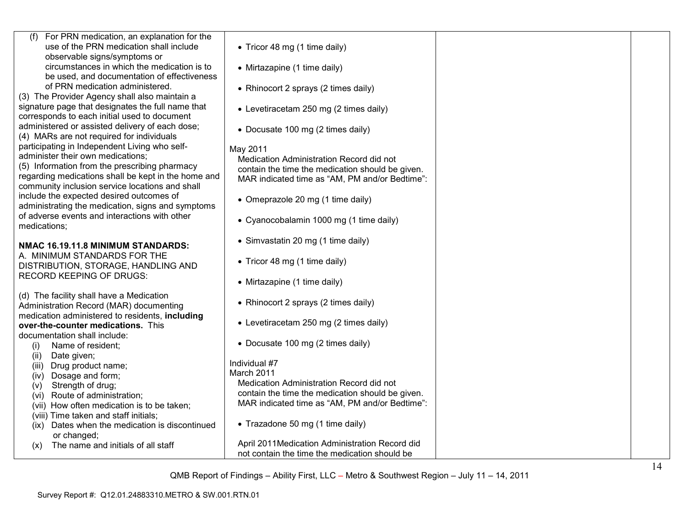| (f) For PRN medication, an explanation for the<br>use of the PRN medication shall include          | • Tricor 48 mg (1 time daily)                          |  |
|----------------------------------------------------------------------------------------------------|--------------------------------------------------------|--|
| observable signs/symptoms or                                                                       |                                                        |  |
| circumstances in which the medication is to                                                        | • Mirtazapine (1 time daily)                           |  |
| be used, and documentation of effectiveness                                                        |                                                        |  |
| of PRN medication administered.                                                                    | • Rhinocort 2 sprays (2 times daily)                   |  |
| (3) The Provider Agency shall also maintain a                                                      |                                                        |  |
| signature page that designates the full name that<br>corresponds to each initial used to document  | • Levetiracetam 250 mg (2 times daily)                 |  |
| administered or assisted delivery of each dose;                                                    |                                                        |  |
| (4) MARs are not required for individuals                                                          | • Docusate 100 mg (2 times daily)                      |  |
| participating in Independent Living who self-                                                      | May 2011                                               |  |
| administer their own medications;                                                                  | Medication Administration Record did not               |  |
| (5) Information from the prescribing pharmacy                                                      | contain the time the medication should be given.       |  |
| regarding medications shall be kept in the home and                                                | MAR indicated time as "AM, PM and/or Bedtime":         |  |
| community inclusion service locations and shall                                                    |                                                        |  |
| include the expected desired outcomes of                                                           | • Omeprazole 20 mg (1 time daily)                      |  |
| administrating the medication, signs and symptoms<br>of adverse events and interactions with other |                                                        |  |
| medications;                                                                                       | • Cyanocobalamin 1000 mg (1 time daily)                |  |
|                                                                                                    |                                                        |  |
| NMAC 16.19.11.8 MINIMUM STANDARDS:                                                                 | • Simvastatin 20 mg (1 time daily)                     |  |
| A. MINIMUM STANDARDS FOR THE                                                                       |                                                        |  |
| DISTRIBUTION, STORAGE, HANDLING AND                                                                | • Tricor 48 mg (1 time daily)                          |  |
| <b>RECORD KEEPING OF DRUGS:</b>                                                                    | • Mirtazapine (1 time daily)                           |  |
|                                                                                                    |                                                        |  |
| (d) The facility shall have a Medication                                                           | • Rhinocort 2 sprays (2 times daily)                   |  |
| Administration Record (MAR) documenting<br>medication administered to residents, including         |                                                        |  |
| over-the-counter medications. This                                                                 | • Levetiracetam 250 mg (2 times daily)                 |  |
| documentation shall include:                                                                       |                                                        |  |
| Name of resident;<br>(i)                                                                           | • Docusate 100 mg (2 times daily)                      |  |
| (ii)<br>Date given;                                                                                |                                                        |  |
| Drug product name;<br>(iii)                                                                        | Individual #7                                          |  |
| Dosage and form;<br>(iv)                                                                           | March 2011<br>Medication Administration Record did not |  |
| Strength of drug;<br>(v)                                                                           | contain the time the medication should be given.       |  |
| Route of administration;<br>(vi)                                                                   | MAR indicated time as "AM, PM and/or Bedtime":         |  |
| (vii) How often medication is to be taken;<br>(viii) Time taken and staff initials;                |                                                        |  |
| Dates when the medication is discontinued<br>(ix)                                                  | • Trazadone 50 mg (1 time daily)                       |  |
| or changed;                                                                                        |                                                        |  |
| The name and initials of all staff<br>(x)                                                          | April 2011Medication Administration Record did         |  |
|                                                                                                    | not contain the time the medication should be          |  |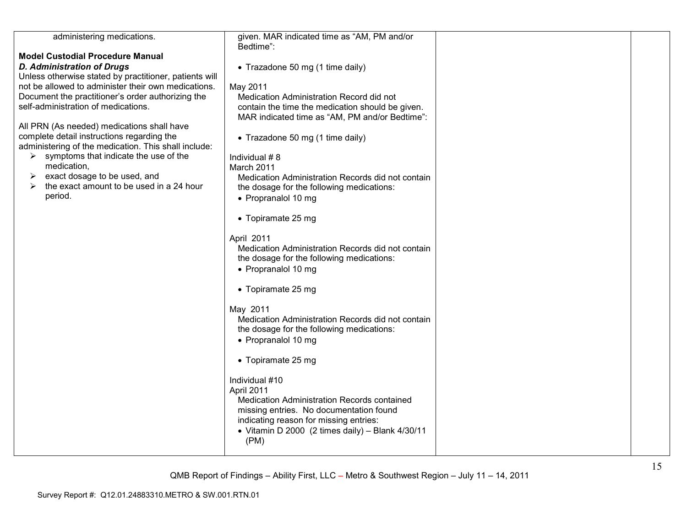| administering medications.                             | given. MAR indicated time as "AM, PM and/or<br>Bedtime": |  |
|--------------------------------------------------------|----------------------------------------------------------|--|
| <b>Model Custodial Procedure Manual</b>                |                                                          |  |
|                                                        |                                                          |  |
| <b>D. Administration of Drugs</b>                      | • Trazadone 50 mg (1 time daily)                         |  |
| Unless otherwise stated by practitioner, patients will |                                                          |  |
| not be allowed to administer their own medications.    | May 2011                                                 |  |
| Document the practitioner's order authorizing the      | Medication Administration Record did not                 |  |
| self-administration of medications.                    | contain the time the medication should be given.         |  |
|                                                        | MAR indicated time as "AM, PM and/or Bedtime":           |  |
| All PRN (As needed) medications shall have             |                                                          |  |
| complete detail instructions regarding the             | • Trazadone 50 mg (1 time daily)                         |  |
| administering of the medication. This shall include:   |                                                          |  |
|                                                        |                                                          |  |
| symptoms that indicate the use of the<br>➤             | Individual #8                                            |  |
| medication,                                            | March 2011                                               |  |
| exact dosage to be used, and                           | Medication Administration Records did not contain        |  |
| the exact amount to be used in a 24 hour<br>➤          | the dosage for the following medications:                |  |
| period.                                                | • Propranalol 10 mg                                      |  |
|                                                        |                                                          |  |
|                                                        | • Topiramate 25 mg                                       |  |
|                                                        |                                                          |  |
|                                                        | April 2011                                               |  |
|                                                        | Medication Administration Records did not contain        |  |
|                                                        | the dosage for the following medications:                |  |
|                                                        | • Propranalol 10 mg                                      |  |
|                                                        |                                                          |  |
|                                                        |                                                          |  |
|                                                        | • Topiramate 25 mg                                       |  |
|                                                        | May 2011                                                 |  |
|                                                        | Medication Administration Records did not contain        |  |
|                                                        | the dosage for the following medications:                |  |
|                                                        |                                                          |  |
|                                                        | • Propranalol 10 mg                                      |  |
|                                                        |                                                          |  |
|                                                        | • Topiramate 25 mg                                       |  |
|                                                        | Individual #10                                           |  |
|                                                        |                                                          |  |
|                                                        | April 2011                                               |  |
|                                                        | Medication Administration Records contained              |  |
|                                                        | missing entries. No documentation found                  |  |
|                                                        | indicating reason for missing entries:                   |  |
|                                                        | • Vitamin D 2000 (2 times daily) - Blank 4/30/11         |  |
|                                                        | (PM)                                                     |  |
|                                                        |                                                          |  |
|                                                        |                                                          |  |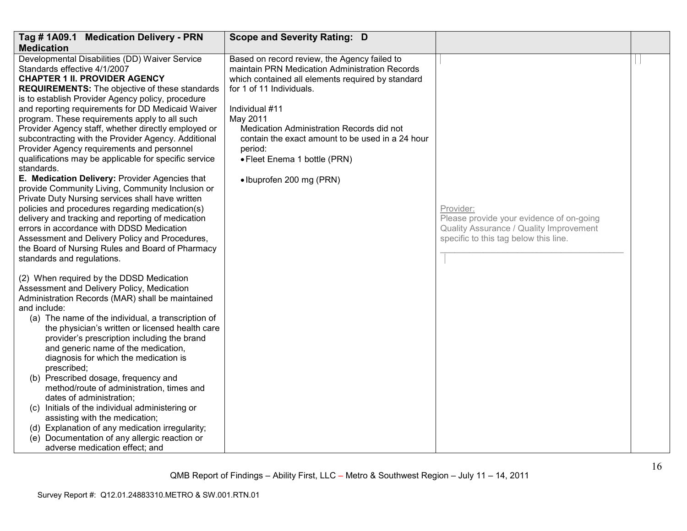| Tag # 1A09.1 Medication Delivery - PRN                                                                                                                                                                                                                                                                                                                                                                                                                                                                                                                                                                                                                                                                                                                                                                                                                                                                                                            | <b>Scope and Severity Rating: D</b>                                                                                                                                                                                                                                                                                                                                                   |                                                                                  |  |
|---------------------------------------------------------------------------------------------------------------------------------------------------------------------------------------------------------------------------------------------------------------------------------------------------------------------------------------------------------------------------------------------------------------------------------------------------------------------------------------------------------------------------------------------------------------------------------------------------------------------------------------------------------------------------------------------------------------------------------------------------------------------------------------------------------------------------------------------------------------------------------------------------------------------------------------------------|---------------------------------------------------------------------------------------------------------------------------------------------------------------------------------------------------------------------------------------------------------------------------------------------------------------------------------------------------------------------------------------|----------------------------------------------------------------------------------|--|
| <b>Medication</b>                                                                                                                                                                                                                                                                                                                                                                                                                                                                                                                                                                                                                                                                                                                                                                                                                                                                                                                                 |                                                                                                                                                                                                                                                                                                                                                                                       |                                                                                  |  |
| Developmental Disabilities (DD) Waiver Service<br>Standards effective 4/1/2007<br><b>CHAPTER 1 II. PROVIDER AGENCY</b><br><b>REQUIREMENTS:</b> The objective of these standards<br>is to establish Provider Agency policy, procedure<br>and reporting requirements for DD Medicaid Waiver<br>program. These requirements apply to all such<br>Provider Agency staff, whether directly employed or<br>subcontracting with the Provider Agency. Additional<br>Provider Agency requirements and personnel<br>qualifications may be applicable for specific service<br>standards.<br>E. Medication Delivery: Provider Agencies that<br>provide Community Living, Community Inclusion or<br>Private Duty Nursing services shall have written<br>policies and procedures regarding medication(s)<br>delivery and tracking and reporting of medication                                                                                                   | Based on record review, the Agency failed to<br>maintain PRN Medication Administration Records<br>which contained all elements required by standard<br>for 1 of 11 Individuals.<br>Individual #11<br>May 2011<br>Medication Administration Records did not<br>contain the exact amount to be used in a 24 hour<br>period:<br>• Fleet Enema 1 bottle (PRN)<br>• Ibuprofen 200 mg (PRN) | Provider:<br>Please provide your evidence of on-going                            |  |
| errors in accordance with DDSD Medication<br>Assessment and Delivery Policy and Procedures,<br>the Board of Nursing Rules and Board of Pharmacy<br>standards and regulations.<br>(2) When required by the DDSD Medication<br>Assessment and Delivery Policy, Medication<br>Administration Records (MAR) shall be maintained<br>and include:<br>(a) The name of the individual, a transcription of<br>the physician's written or licensed health care<br>provider's prescription including the brand<br>and generic name of the medication,<br>diagnosis for which the medication is<br>prescribed;<br>(b) Prescribed dosage, frequency and<br>method/route of administration, times and<br>dates of administration;<br>(c) Initials of the individual administering or<br>assisting with the medication;<br>(d) Explanation of any medication irregularity;<br>Documentation of any allergic reaction or<br>(e)<br>adverse medication effect; and |                                                                                                                                                                                                                                                                                                                                                                                       | Quality Assurance / Quality Improvement<br>specific to this tag below this line. |  |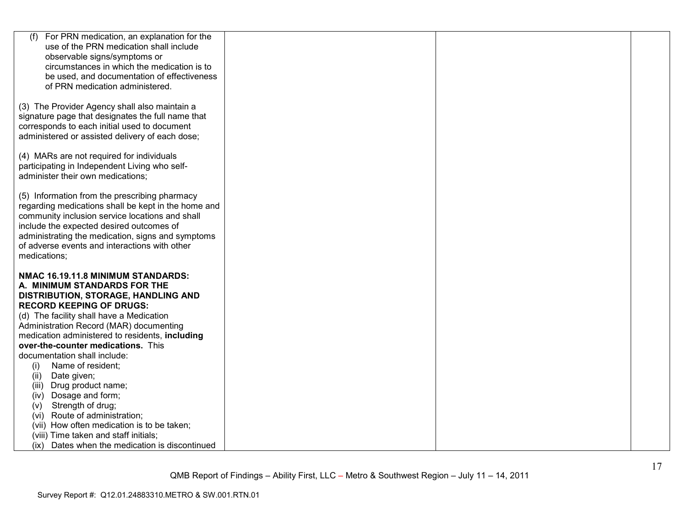| (f)<br>For PRN medication, an explanation for the                                                 |  |  |
|---------------------------------------------------------------------------------------------------|--|--|
| use of the PRN medication shall include                                                           |  |  |
| observable signs/symptoms or                                                                      |  |  |
| circumstances in which the medication is to                                                       |  |  |
| be used, and documentation of effectiveness                                                       |  |  |
| of PRN medication administered.                                                                   |  |  |
|                                                                                                   |  |  |
| (3) The Provider Agency shall also maintain a                                                     |  |  |
| signature page that designates the full name that<br>corresponds to each initial used to document |  |  |
| administered or assisted delivery of each dose;                                                   |  |  |
|                                                                                                   |  |  |
| (4) MARs are not required for individuals                                                         |  |  |
| participating in Independent Living who self-                                                     |  |  |
| administer their own medications;                                                                 |  |  |
|                                                                                                   |  |  |
| (5) Information from the prescribing pharmacy                                                     |  |  |
| regarding medications shall be kept in the home and                                               |  |  |
| community inclusion service locations and shall                                                   |  |  |
| include the expected desired outcomes of                                                          |  |  |
| administrating the medication, signs and symptoms                                                 |  |  |
| of adverse events and interactions with other                                                     |  |  |
| medications;                                                                                      |  |  |
| NMAC 16.19.11.8 MINIMUM STANDARDS:                                                                |  |  |
| A. MINIMUM STANDARDS FOR THE                                                                      |  |  |
| DISTRIBUTION, STORAGE, HANDLING AND                                                               |  |  |
| <b>RECORD KEEPING OF DRUGS:</b>                                                                   |  |  |
| (d) The facility shall have a Medication                                                          |  |  |
| Administration Record (MAR) documenting                                                           |  |  |
| medication administered to residents, including                                                   |  |  |
| over-the-counter medications. This                                                                |  |  |
| documentation shall include:                                                                      |  |  |
| Name of resident;<br>(i)                                                                          |  |  |
| Date given;<br>(ii)                                                                               |  |  |
| (iii) Drug product name;                                                                          |  |  |
| Dosage and form;<br>(iv)                                                                          |  |  |
| Strength of drug;<br>(V)                                                                          |  |  |
| (vi) Route of administration;                                                                     |  |  |
| (vii) How often medication is to be taken;                                                        |  |  |
| (viii) Time taken and staff initials;                                                             |  |  |
| (ix) Dates when the medication is discontinued                                                    |  |  |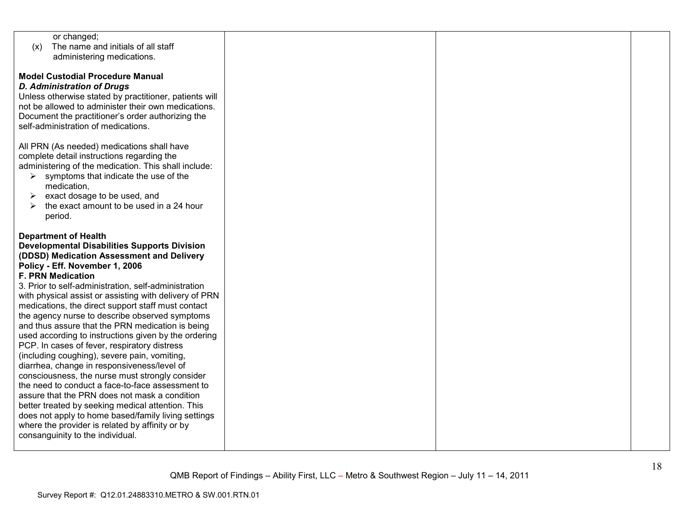| or changed;                                            |  |  |
|--------------------------------------------------------|--|--|
| The name and initials of all staff<br>(x)              |  |  |
|                                                        |  |  |
| administering medications.                             |  |  |
|                                                        |  |  |
|                                                        |  |  |
| <b>Model Custodial Procedure Manual</b>                |  |  |
| <b>D. Administration of Drugs</b>                      |  |  |
| Unless otherwise stated by practitioner, patients will |  |  |
|                                                        |  |  |
| not be allowed to administer their own medications.    |  |  |
| Document the practitioner's order authorizing the      |  |  |
|                                                        |  |  |
| self-administration of medications.                    |  |  |
|                                                        |  |  |
| All PRN (As needed) medications shall have             |  |  |
|                                                        |  |  |
| complete detail instructions regarding the             |  |  |
| administering of the medication. This shall include:   |  |  |
|                                                        |  |  |
| symptoms that indicate the use of the<br>➤             |  |  |
| medication,                                            |  |  |
| exact dosage to be used, and<br>➤                      |  |  |
|                                                        |  |  |
| the exact amount to be used in a 24 hour<br>➤          |  |  |
| period.                                                |  |  |
|                                                        |  |  |
|                                                        |  |  |
| <b>Department of Health</b>                            |  |  |
| <b>Developmental Disabilities Supports Division</b>    |  |  |
| (DDSD) Medication Assessment and Delivery              |  |  |
|                                                        |  |  |
| Policy - Eff. November 1, 2006                         |  |  |
| <b>F. PRN Medication</b>                               |  |  |
|                                                        |  |  |
| 3. Prior to self-administration, self-administration   |  |  |
| with physical assist or assisting with delivery of PRN |  |  |
| medications, the direct support staff must contact     |  |  |
|                                                        |  |  |
| the agency nurse to describe observed symptoms         |  |  |
| and thus assure that the PRN medication is being       |  |  |
| used according to instructions given by the ordering   |  |  |
|                                                        |  |  |
| PCP. In cases of fever, respiratory distress           |  |  |
| (including coughing), severe pain, vomiting,           |  |  |
| diarrhea, change in responsiveness/level of            |  |  |
|                                                        |  |  |
| consciousness, the nurse must strongly consider        |  |  |
| the need to conduct a face-to-face assessment to       |  |  |
| assure that the PRN does not mask a condition          |  |  |
|                                                        |  |  |
| better treated by seeking medical attention. This      |  |  |
| does not apply to home based/family living settings    |  |  |
|                                                        |  |  |
| where the provider is related by affinity or by        |  |  |
| consanguinity to the individual.                       |  |  |
|                                                        |  |  |
|                                                        |  |  |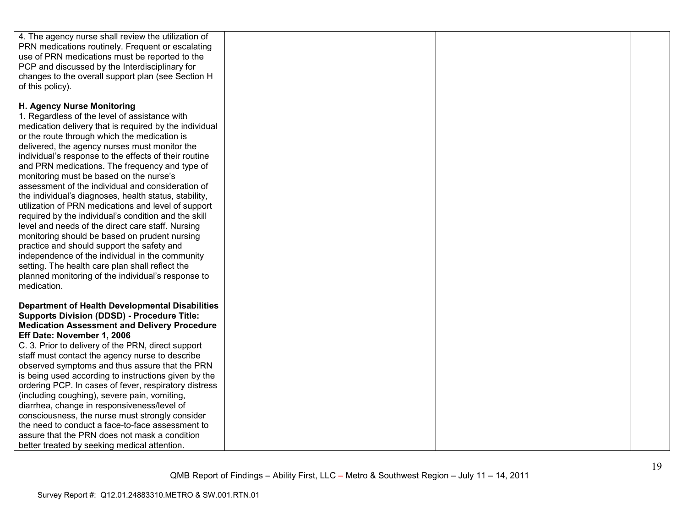| 4. The agency nurse shall review the utilization of<br>PRN medications routinely. Frequent or escalating<br>use of PRN medications must be reported to the<br>PCP and discussed by the Interdisciplinary for<br>changes to the overall support plan (see Section H<br>of this policy).                                                                                                                                                                                                                                                                                                                                                                                                                                                                                                                                                                                                                                                                   |  |  |
|----------------------------------------------------------------------------------------------------------------------------------------------------------------------------------------------------------------------------------------------------------------------------------------------------------------------------------------------------------------------------------------------------------------------------------------------------------------------------------------------------------------------------------------------------------------------------------------------------------------------------------------------------------------------------------------------------------------------------------------------------------------------------------------------------------------------------------------------------------------------------------------------------------------------------------------------------------|--|--|
| H. Agency Nurse Monitoring<br>1. Regardless of the level of assistance with<br>medication delivery that is required by the individual<br>or the route through which the medication is<br>delivered, the agency nurses must monitor the<br>individual's response to the effects of their routine<br>and PRN medications. The frequency and type of<br>monitoring must be based on the nurse's<br>assessment of the individual and consideration of<br>the individual's diagnoses, health status, stability,<br>utilization of PRN medications and level of support<br>required by the individual's condition and the skill<br>level and needs of the direct care staff. Nursing<br>monitoring should be based on prudent nursing<br>practice and should support the safety and<br>independence of the individual in the community<br>setting. The health care plan shall reflect the<br>planned monitoring of the individual's response to<br>medication. |  |  |
| <b>Department of Health Developmental Disabilities</b><br><b>Supports Division (DDSD) - Procedure Title:</b><br><b>Medication Assessment and Delivery Procedure</b><br>Eff Date: November 1, 2006<br>C. 3. Prior to delivery of the PRN, direct support<br>staff must contact the agency nurse to describe<br>observed symptoms and thus assure that the PRN<br>is being used according to instructions given by the<br>ordering PCP. In cases of fever, respiratory distress<br>(including coughing), severe pain, vomiting,<br>diarrhea, change in responsiveness/level of<br>consciousness, the nurse must strongly consider<br>the need to conduct a face-to-face assessment to<br>assure that the PRN does not mask a condition<br>better treated by seeking medical attention.                                                                                                                                                                     |  |  |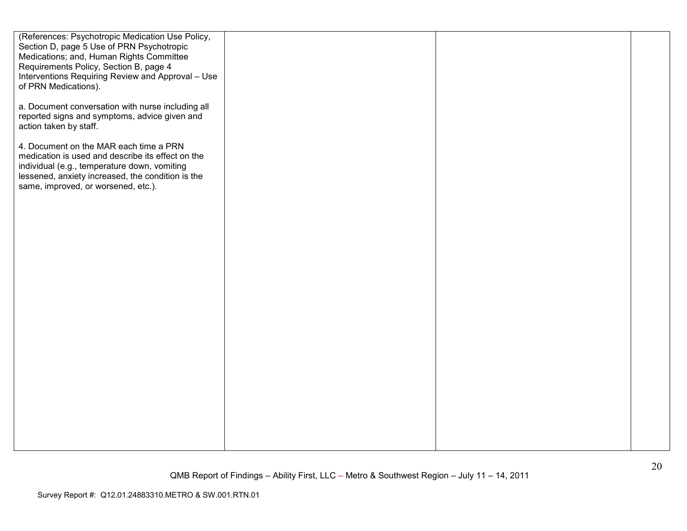| (References: Psychotropic Medication Use Policy,<br>Section D, page 5 Use of PRN Psychotropic      |  |  |
|----------------------------------------------------------------------------------------------------|--|--|
| Medications; and, Human Rights Committee                                                           |  |  |
| Requirements Policy, Section B, page 4                                                             |  |  |
| Interventions Requiring Review and Approval - Use                                                  |  |  |
| of PRN Medications).                                                                               |  |  |
| a. Document conversation with nurse including all<br>reported signs and symptoms, advice given and |  |  |
| action taken by staff.                                                                             |  |  |
| 4. Document on the MAR each time a PRN                                                             |  |  |
| medication is used and describe its effect on the<br>individual (e.g., temperature down, vomiting  |  |  |
| lessened, anxiety increased, the condition is the<br>same, improved, or worsened, etc.).           |  |  |
|                                                                                                    |  |  |
|                                                                                                    |  |  |
|                                                                                                    |  |  |
|                                                                                                    |  |  |
|                                                                                                    |  |  |
|                                                                                                    |  |  |
|                                                                                                    |  |  |
|                                                                                                    |  |  |
|                                                                                                    |  |  |
|                                                                                                    |  |  |
|                                                                                                    |  |  |
|                                                                                                    |  |  |
|                                                                                                    |  |  |
|                                                                                                    |  |  |
|                                                                                                    |  |  |
|                                                                                                    |  |  |
|                                                                                                    |  |  |
|                                                                                                    |  |  |
|                                                                                                    |  |  |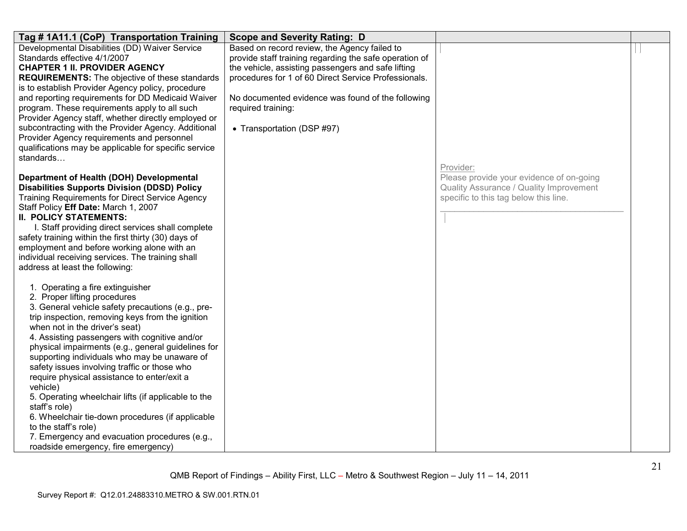| Tag # 1A11.1 (CoP) Transportation Training                                                                                                                                                                                                                                              | <b>Scope and Severity Rating: D</b>                                                                                                                                                                                  |                                                                                                                              |  |
|-----------------------------------------------------------------------------------------------------------------------------------------------------------------------------------------------------------------------------------------------------------------------------------------|----------------------------------------------------------------------------------------------------------------------------------------------------------------------------------------------------------------------|------------------------------------------------------------------------------------------------------------------------------|--|
| Developmental Disabilities (DD) Waiver Service<br>Standards effective 4/1/2007<br><b>CHAPTER 1 II. PROVIDER AGENCY</b><br><b>REQUIREMENTS:</b> The objective of these standards<br>is to establish Provider Agency policy, procedure                                                    | Based on record review, the Agency failed to<br>provide staff training regarding the safe operation of<br>the vehicle, assisting passengers and safe lifting<br>procedures for 1 of 60 Direct Service Professionals. |                                                                                                                              |  |
| and reporting requirements for DD Medicaid Waiver<br>program. These requirements apply to all such<br>Provider Agency staff, whether directly employed or<br>subcontracting with the Provider Agency. Additional                                                                        | No documented evidence was found of the following<br>required training:<br>• Transportation (DSP #97)                                                                                                                |                                                                                                                              |  |
| Provider Agency requirements and personnel<br>qualifications may be applicable for specific service<br>standards                                                                                                                                                                        |                                                                                                                                                                                                                      | Provider:                                                                                                                    |  |
| Department of Health (DOH) Developmental<br><b>Disabilities Supports Division (DDSD) Policy</b><br><b>Training Requirements for Direct Service Agency</b><br>Staff Policy Eff Date: March 1, 2007<br><b>II. POLICY STATEMENTS:</b><br>I. Staff providing direct services shall complete |                                                                                                                                                                                                                      | Please provide your evidence of on-going<br>Quality Assurance / Quality Improvement<br>specific to this tag below this line. |  |
| safety training within the first thirty (30) days of<br>employment and before working alone with an<br>individual receiving services. The training shall<br>address at least the following:                                                                                             |                                                                                                                                                                                                                      |                                                                                                                              |  |
| 1. Operating a fire extinguisher<br>2. Proper lifting procedures<br>3. General vehicle safety precautions (e.g., pre-<br>trip inspection, removing keys from the ignition<br>when not in the driver's seat)                                                                             |                                                                                                                                                                                                                      |                                                                                                                              |  |
| 4. Assisting passengers with cognitive and/or<br>physical impairments (e.g., general guidelines for<br>supporting individuals who may be unaware of<br>safety issues involving traffic or those who<br>require physical assistance to enter/exit a<br>vehicle)                          |                                                                                                                                                                                                                      |                                                                                                                              |  |
| 5. Operating wheelchair lifts (if applicable to the<br>staff's role)<br>6. Wheelchair tie-down procedures (if applicable<br>to the staff's role)                                                                                                                                        |                                                                                                                                                                                                                      |                                                                                                                              |  |
| 7. Emergency and evacuation procedures (e.g.,<br>roadside emergency, fire emergency)                                                                                                                                                                                                    |                                                                                                                                                                                                                      |                                                                                                                              |  |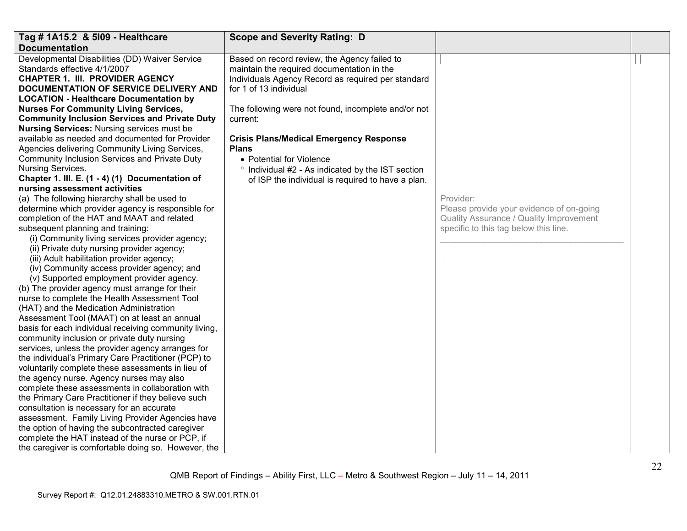| Tag # 1A15.2 & 5109 - Healthcare                                                                       | <b>Scope and Severity Rating: D</b>                        |                                          |  |
|--------------------------------------------------------------------------------------------------------|------------------------------------------------------------|------------------------------------------|--|
| <b>Documentation</b>                                                                                   |                                                            |                                          |  |
| Developmental Disabilities (DD) Waiver Service                                                         | Based on record review, the Agency failed to               |                                          |  |
| Standards effective 4/1/2007                                                                           | maintain the required documentation in the                 |                                          |  |
| <b>CHAPTER 1. III. PROVIDER AGENCY</b>                                                                 | Individuals Agency Record as required per standard         |                                          |  |
| DOCUMENTATION OF SERVICE DELIVERY AND                                                                  | for 1 of 13 individual                                     |                                          |  |
| <b>LOCATION - Healthcare Documentation by</b>                                                          |                                                            |                                          |  |
| <b>Nurses For Community Living Services,</b>                                                           | The following were not found, incomplete and/or not        |                                          |  |
| <b>Community Inclusion Services and Private Duty</b>                                                   | current:                                                   |                                          |  |
| <b>Nursing Services: Nursing services must be</b>                                                      |                                                            |                                          |  |
| available as needed and documented for Provider                                                        | <b>Crisis Plans/Medical Emergency Response</b>             |                                          |  |
| Agencies delivering Community Living Services,                                                         | <b>Plans</b>                                               |                                          |  |
| Community Inclusion Services and Private Duty                                                          | • Potential for Violence                                   |                                          |  |
| <b>Nursing Services.</b>                                                                               | Individual #2 - As indicated by the IST section<br>$\circ$ |                                          |  |
| Chapter 1. III. E. (1 - 4) (1) Documentation of                                                        | of ISP the individual is required to have a plan.          |                                          |  |
| nursing assessment activities                                                                          |                                                            |                                          |  |
| (a) The following hierarchy shall be used to                                                           |                                                            | Provider:                                |  |
| determine which provider agency is responsible for                                                     |                                                            | Please provide your evidence of on-going |  |
| completion of the HAT and MAAT and related                                                             |                                                            | Quality Assurance / Quality Improvement  |  |
| subsequent planning and training:                                                                      |                                                            | specific to this tag below this line.    |  |
| (i) Community living services provider agency;                                                         |                                                            |                                          |  |
| (ii) Private duty nursing provider agency;                                                             |                                                            |                                          |  |
| (iii) Adult habilitation provider agency;                                                              |                                                            |                                          |  |
| (iv) Community access provider agency; and                                                             |                                                            |                                          |  |
| (v) Supported employment provider agency.                                                              |                                                            |                                          |  |
| (b) The provider agency must arrange for their                                                         |                                                            |                                          |  |
| nurse to complete the Health Assessment Tool                                                           |                                                            |                                          |  |
| (HAT) and the Medication Administration                                                                |                                                            |                                          |  |
| Assessment Tool (MAAT) on at least an annual                                                           |                                                            |                                          |  |
| basis for each individual receiving community living,                                                  |                                                            |                                          |  |
| community inclusion or private duty nursing                                                            |                                                            |                                          |  |
| services, unless the provider agency arranges for                                                      |                                                            |                                          |  |
| the individual's Primary Care Practitioner (PCP) to                                                    |                                                            |                                          |  |
| voluntarily complete these assessments in lieu of<br>the agency nurse. Agency nurses may also          |                                                            |                                          |  |
|                                                                                                        |                                                            |                                          |  |
| complete these assessments in collaboration with<br>the Primary Care Practitioner if they believe such |                                                            |                                          |  |
| consultation is necessary for an accurate                                                              |                                                            |                                          |  |
| assessment. Family Living Provider Agencies have                                                       |                                                            |                                          |  |
| the option of having the subcontracted caregiver                                                       |                                                            |                                          |  |
| complete the HAT instead of the nurse or PCP, if                                                       |                                                            |                                          |  |
|                                                                                                        |                                                            |                                          |  |
| the caregiver is comfortable doing so. However, the                                                    |                                                            |                                          |  |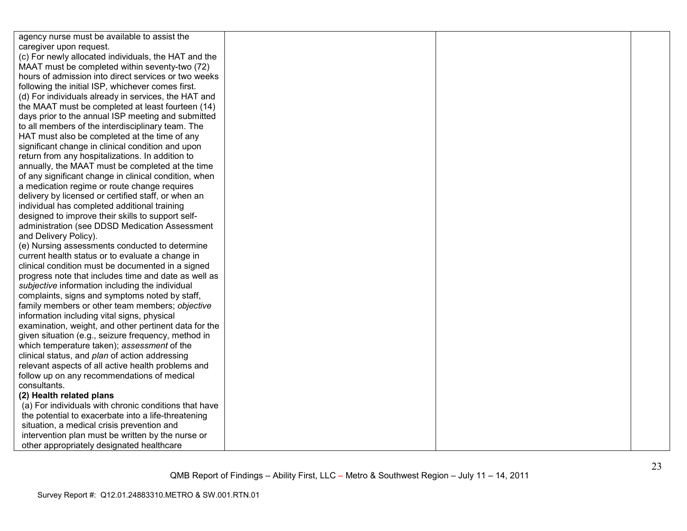| agency nurse must be available to assist the          |  |  |
|-------------------------------------------------------|--|--|
| caregiver upon request.                               |  |  |
| (c) For newly allocated individuals, the HAT and the  |  |  |
| MAAT must be completed within seventy-two (72)        |  |  |
| hours of admission into direct services or two weeks  |  |  |
| following the initial ISP, whichever comes first.     |  |  |
| (d) For individuals already in services, the HAT and  |  |  |
| the MAAT must be completed at least fourteen (14)     |  |  |
| days prior to the annual ISP meeting and submitted    |  |  |
| to all members of the interdisciplinary team. The     |  |  |
| HAT must also be completed at the time of any         |  |  |
| significant change in clinical condition and upon     |  |  |
| return from any hospitalizations. In addition to      |  |  |
| annually, the MAAT must be completed at the time      |  |  |
| of any significant change in clinical condition, when |  |  |
| a medication regime or route change requires          |  |  |
| delivery by licensed or certified staff, or when an   |  |  |
| individual has completed additional training          |  |  |
| designed to improve their skills to support self-     |  |  |
| administration (see DDSD Medication Assessment        |  |  |
| and Delivery Policy).                                 |  |  |
| (e) Nursing assessments conducted to determine        |  |  |
| current health status or to evaluate a change in      |  |  |
| clinical condition must be documented in a signed     |  |  |
| progress note that includes time and date as well as  |  |  |
| subjective information including the individual       |  |  |
| complaints, signs and symptoms noted by staff,        |  |  |
| family members or other team members; objective       |  |  |
| information including vital signs, physical           |  |  |
| examination, weight, and other pertinent data for the |  |  |
| given situation (e.g., seizure frequency, method in   |  |  |
| which temperature taken); assessment of the           |  |  |
| clinical status, and plan of action addressing        |  |  |
| relevant aspects of all active health problems and    |  |  |
| follow up on any recommendations of medical           |  |  |
| consultants.                                          |  |  |
| (2) Health related plans                              |  |  |
| (a) For individuals with chronic conditions that have |  |  |
| the potential to exacerbate into a life-threatening   |  |  |
| situation, a medical crisis prevention and            |  |  |
| intervention plan must be written by the nurse or     |  |  |
| other appropriately designated healthcare             |  |  |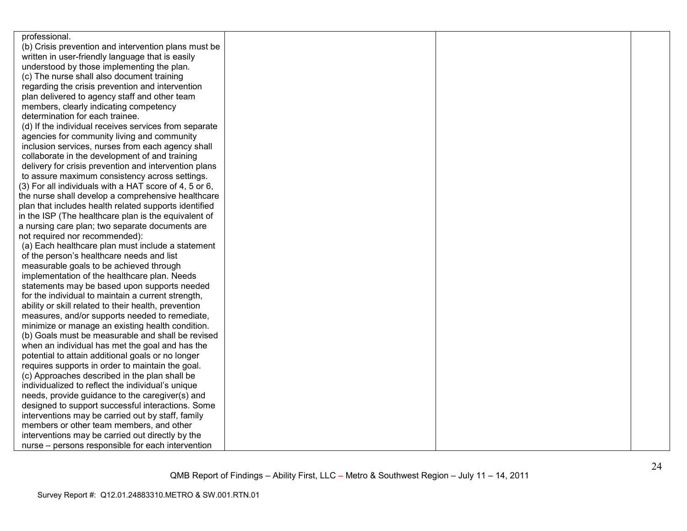| professional.                                          |  |  |
|--------------------------------------------------------|--|--|
| (b) Crisis prevention and intervention plans must be   |  |  |
| written in user-friendly language that is easily       |  |  |
| understood by those implementing the plan.             |  |  |
| (c) The nurse shall also document training             |  |  |
| regarding the crisis prevention and intervention       |  |  |
| plan delivered to agency staff and other team          |  |  |
| members, clearly indicating competency                 |  |  |
| determination for each trainee.                        |  |  |
| (d) If the individual receives services from separate  |  |  |
| agencies for community living and community            |  |  |
| inclusion services, nurses from each agency shall      |  |  |
| collaborate in the development of and training         |  |  |
| delivery for crisis prevention and intervention plans  |  |  |
| to assure maximum consistency across settings.         |  |  |
| (3) For all individuals with a HAT score of 4, 5 or 6, |  |  |
| the nurse shall develop a comprehensive healthcare     |  |  |
| plan that includes health related supports identified  |  |  |
| in the ISP (The healthcare plan is the equivalent of   |  |  |
| a nursing care plan; two separate documents are        |  |  |
| not required nor recommended):                         |  |  |
| (a) Each healthcare plan must include a statement      |  |  |
| of the person's healthcare needs and list              |  |  |
| measurable goals to be achieved through                |  |  |
| implementation of the healthcare plan. Needs           |  |  |
| statements may be based upon supports needed           |  |  |
| for the individual to maintain a current strength,     |  |  |
| ability or skill related to their health, prevention   |  |  |
| measures, and/or supports needed to remediate,         |  |  |
| minimize or manage an existing health condition.       |  |  |
| (b) Goals must be measurable and shall be revised      |  |  |
| when an individual has met the goal and has the        |  |  |
| potential to attain additional goals or no longer      |  |  |
| requires supports in order to maintain the goal.       |  |  |
| (c) Approaches described in the plan shall be          |  |  |
| individualized to reflect the individual's unique      |  |  |
| needs, provide guidance to the caregiver(s) and        |  |  |
| designed to support successful interactions. Some      |  |  |
| interventions may be carried out by staff, family      |  |  |
| members or other team members, and other               |  |  |
| interventions may be carried out directly by the       |  |  |
| nurse – persons responsible for each intervention      |  |  |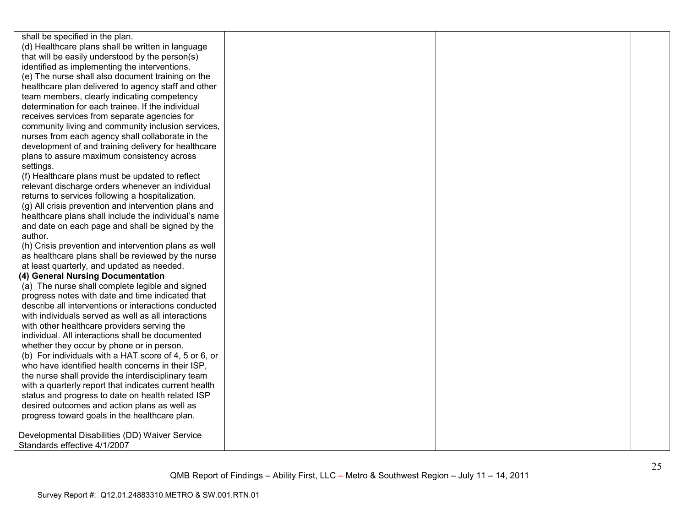shall be specified in the plan. (d) Healthcare plans shall be written in language that will be easily understood by the person(s) identified as implementing the interventions. (e) The nurse shall also document training on the healthcare plan delivered to agency staff and otherteam members, clearly indicating competency determination for each trainee. If the individual receives services from separate agencies for community living and community inclusion services, nurses from each agency shall collaborate in the development of and training delivery for healthcareplans to assure maximum consistency across settings. (f) Healthcare plans must be updated to reflect relevant discharge orders whenever an individual returns to services following a hospitalization. (g) All crisis prevention and intervention plans and healthcare plans shall include the individual's name and date on each page and shall be signed by the author. (h) Crisis prevention and intervention plans as well as healthcare plans shall be reviewed by the nurse at least quarterly, and updated as needed. **(4) General Nursing Documentation**  (a) The nurse shall complete legible and signed progress notes with date and time indicated that describe all interventions or interactions conducted with individuals served as well as all interactionswith other healthcare providers serving the individual. All interactions shall be documented whether they occur by phone or in person. (b) For individuals with a HAT score of 4, 5 or 6, or who have identified health concerns in their ISP. the nurse shall provide the interdisciplinary team with a quarterly report that indicates current health status and progress to date on health related ISP desired outcomes and action plans as well as progress toward goals in the healthcare plan. Developmental Disabilities (DD) Waiver Service Standards effective 4/1/2007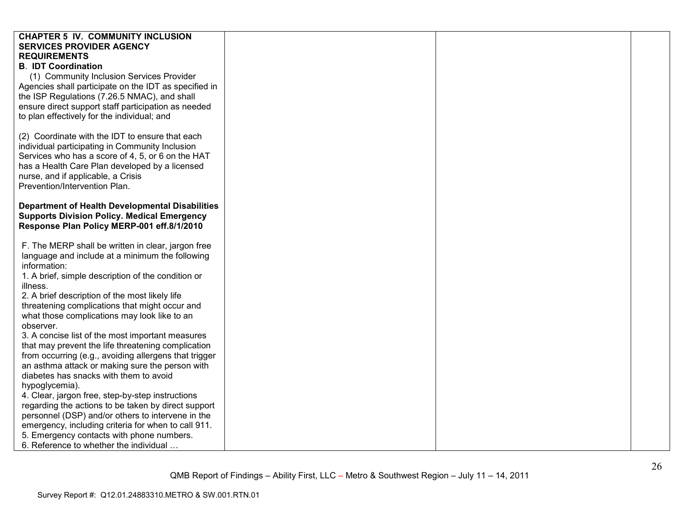| <b>CHAPTER 5 IV. COMMUNITY INCLUSION</b><br><b>SERVICES PROVIDER AGENCY</b> |  |  |
|-----------------------------------------------------------------------------|--|--|
| <b>REQUIREMENTS</b>                                                         |  |  |
| <b>B. IDT Coordination</b>                                                  |  |  |
|                                                                             |  |  |
| (1) Community Inclusion Services Provider                                   |  |  |
| Agencies shall participate on the IDT as specified in                       |  |  |
| the ISP Regulations (7.26.5 NMAC), and shall                                |  |  |
| ensure direct support staff participation as needed                         |  |  |
| to plan effectively for the individual; and                                 |  |  |
|                                                                             |  |  |
| (2) Coordinate with the IDT to ensure that each                             |  |  |
| individual participating in Community Inclusion                             |  |  |
| Services who has a score of 4, 5, or 6 on the HAT                           |  |  |
| has a Health Care Plan developed by a licensed                              |  |  |
| nurse, and if applicable, a Crisis                                          |  |  |
| Prevention/Intervention Plan.                                               |  |  |
|                                                                             |  |  |
| <b>Department of Health Developmental Disabilities</b>                      |  |  |
| <b>Supports Division Policy. Medical Emergency</b>                          |  |  |
| Response Plan Policy MERP-001 eff.8/1/2010                                  |  |  |
|                                                                             |  |  |
| F. The MERP shall be written in clear, jargon free                          |  |  |
| language and include at a minimum the following                             |  |  |
| information:                                                                |  |  |
| 1. A brief, simple description of the condition or                          |  |  |
| illness.                                                                    |  |  |
| 2. A brief description of the most likely life                              |  |  |
| threatening complications that might occur and                              |  |  |
| what those complications may look like to an                                |  |  |
| observer.                                                                   |  |  |
| 3. A concise list of the most important measures                            |  |  |
| that may prevent the life threatening complication                          |  |  |
| from occurring (e.g., avoiding allergens that trigger                       |  |  |
| an asthma attack or making sure the person with                             |  |  |
| diabetes has snacks with them to avoid                                      |  |  |
| hypoglycemia).                                                              |  |  |
| 4. Clear, jargon free, step-by-step instructions                            |  |  |
| regarding the actions to be taken by direct support                         |  |  |
| personnel (DSP) and/or others to intervene in the                           |  |  |
| emergency, including criteria for when to call 911.                         |  |  |
| 5. Emergency contacts with phone numbers.                                   |  |  |
| 6. Reference to whether the individual                                      |  |  |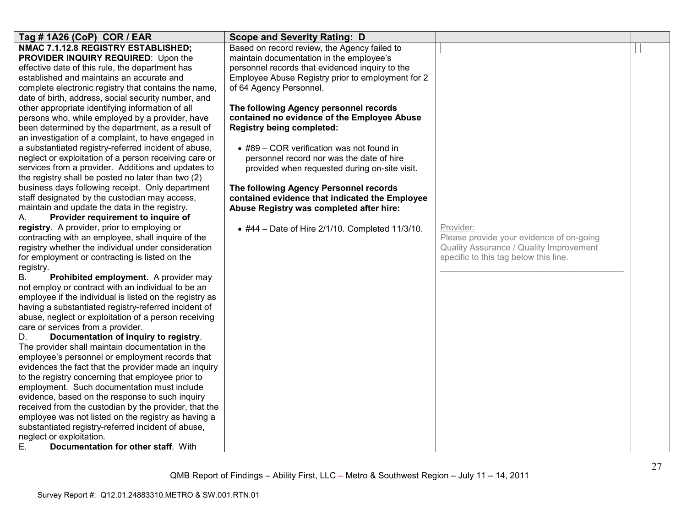| Tag # 1A26 (CoP) COR / EAR                                                                                  | <b>Scope and Severity Rating: D</b>               |                                          |  |
|-------------------------------------------------------------------------------------------------------------|---------------------------------------------------|------------------------------------------|--|
| NMAC 7.1.12.8 REGISTRY ESTABLISHED;                                                                         | Based on record review, the Agency failed to      |                                          |  |
| PROVIDER INQUIRY REQUIRED: Upon the                                                                         | maintain documentation in the employee's          |                                          |  |
| effective date of this rule, the department has                                                             | personnel records that evidenced inquiry to the   |                                          |  |
| established and maintains an accurate and                                                                   | Employee Abuse Registry prior to employment for 2 |                                          |  |
| complete electronic registry that contains the name,                                                        | of 64 Agency Personnel.                           |                                          |  |
| date of birth, address, social security number, and                                                         |                                                   |                                          |  |
| other appropriate identifying information of all                                                            | The following Agency personnel records            |                                          |  |
| persons who, while employed by a provider, have                                                             | contained no evidence of the Employee Abuse       |                                          |  |
| been determined by the department, as a result of                                                           | <b>Registry being completed:</b>                  |                                          |  |
| an investigation of a complaint, to have engaged in                                                         |                                                   |                                          |  |
| a substantiated registry-referred incident of abuse,                                                        | • #89 – COR verification was not found in         |                                          |  |
| neglect or exploitation of a person receiving care or<br>services from a provider. Additions and updates to | personnel record nor was the date of hire         |                                          |  |
| the registry shall be posted no later than two (2)                                                          | provided when requested during on-site visit.     |                                          |  |
| business days following receipt. Only department                                                            | The following Agency Personnel records            |                                          |  |
| staff designated by the custodian may access,                                                               | contained evidence that indicated the Employee    |                                          |  |
| maintain and update the data in the registry.                                                               | Abuse Registry was completed after hire:          |                                          |  |
| Provider requirement to inquire of<br>Α.                                                                    |                                                   |                                          |  |
| registry. A provider, prior to employing or                                                                 | • #44 - Date of Hire 2/1/10. Completed 11/3/10.   | Provider:                                |  |
| contracting with an employee, shall inquire of the                                                          |                                                   | Please provide your evidence of on-going |  |
| registry whether the individual under consideration                                                         |                                                   | Quality Assurance / Quality Improvement  |  |
| for employment or contracting is listed on the                                                              |                                                   | specific to this tag below this line.    |  |
| registry.                                                                                                   |                                                   |                                          |  |
| Prohibited employment. A provider may<br>В.                                                                 |                                                   |                                          |  |
| not employ or contract with an individual to be an                                                          |                                                   |                                          |  |
| employee if the individual is listed on the registry as                                                     |                                                   |                                          |  |
| having a substantiated registry-referred incident of                                                        |                                                   |                                          |  |
| abuse, neglect or exploitation of a person receiving                                                        |                                                   |                                          |  |
| care or services from a provider.                                                                           |                                                   |                                          |  |
| Documentation of inquiry to registry.<br>D.                                                                 |                                                   |                                          |  |
| The provider shall maintain documentation in the                                                            |                                                   |                                          |  |
| employee's personnel or employment records that                                                             |                                                   |                                          |  |
| evidences the fact that the provider made an inquiry                                                        |                                                   |                                          |  |
| to the registry concerning that employee prior to                                                           |                                                   |                                          |  |
| employment. Such documentation must include                                                                 |                                                   |                                          |  |
| evidence, based on the response to such inquiry                                                             |                                                   |                                          |  |
| received from the custodian by the provider, that the                                                       |                                                   |                                          |  |
| employee was not listed on the registry as having a                                                         |                                                   |                                          |  |
| substantiated registry-referred incident of abuse,                                                          |                                                   |                                          |  |
| neglect or exploitation.<br>Documentation for other staff. With                                             |                                                   |                                          |  |
| Е.                                                                                                          |                                                   |                                          |  |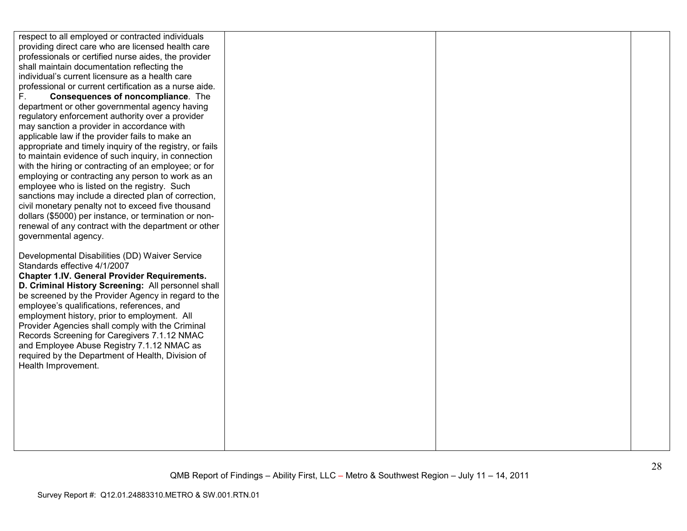| respect to all employed or contracted individuals        |  |  |
|----------------------------------------------------------|--|--|
| providing direct care who are licensed health care       |  |  |
| professionals or certified nurse aides, the provider     |  |  |
| shall maintain documentation reflecting the              |  |  |
| individual's current licensure as a health care          |  |  |
| professional or current certification as a nurse aide.   |  |  |
| Consequences of noncompliance. The<br>F.                 |  |  |
| department or other governmental agency having           |  |  |
| regulatory enforcement authority over a provider         |  |  |
| may sanction a provider in accordance with               |  |  |
| applicable law if the provider fails to make an          |  |  |
| appropriate and timely inquiry of the registry, or fails |  |  |
| to maintain evidence of such inquiry, in connection      |  |  |
| with the hiring or contracting of an employee; or for    |  |  |
| employing or contracting any person to work as an        |  |  |
| employee who is listed on the registry. Such             |  |  |
| sanctions may include a directed plan of correction,     |  |  |
| civil monetary penalty not to exceed five thousand       |  |  |
| dollars (\$5000) per instance, or termination or non-    |  |  |
| renewal of any contract with the department or other     |  |  |
| governmental agency.                                     |  |  |
|                                                          |  |  |
| Developmental Disabilities (DD) Waiver Service           |  |  |
| Standards effective 4/1/2007                             |  |  |
| <b>Chapter 1.IV. General Provider Requirements.</b>      |  |  |
| D. Criminal History Screening: All personnel shall       |  |  |
| be screened by the Provider Agency in regard to the      |  |  |
| employee's qualifications, references, and               |  |  |
| employment history, prior to employment. All             |  |  |
| Provider Agencies shall comply with the Criminal         |  |  |
| Records Screening for Caregivers 7.1.12 NMAC             |  |  |
| and Employee Abuse Registry 7.1.12 NMAC as               |  |  |
| required by the Department of Health, Division of        |  |  |
| Health Improvement.                                      |  |  |
|                                                          |  |  |
|                                                          |  |  |
|                                                          |  |  |
|                                                          |  |  |
|                                                          |  |  |
|                                                          |  |  |
|                                                          |  |  |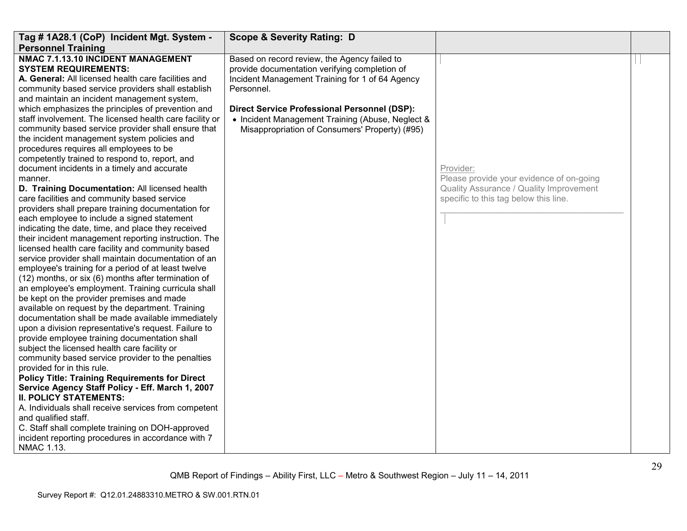| Tag # 1A28.1 (CoP) Incident Mgt. System -                                                                                                                                                                                                                                                                                                                                                                                                                                                                                                                                                                                                                                                                                                                                                                                                                                                                                                                                                                                                                                                                                                                                                                                                                                                                                                                                                                                                                                                                                                                                                                                                                                                                                                                                                                                                                                                                                                                                                         | <b>Scope &amp; Severity Rating: D</b>                                                                                                                                                                                                                                                                                       |                                                                                                                                           |  |
|---------------------------------------------------------------------------------------------------------------------------------------------------------------------------------------------------------------------------------------------------------------------------------------------------------------------------------------------------------------------------------------------------------------------------------------------------------------------------------------------------------------------------------------------------------------------------------------------------------------------------------------------------------------------------------------------------------------------------------------------------------------------------------------------------------------------------------------------------------------------------------------------------------------------------------------------------------------------------------------------------------------------------------------------------------------------------------------------------------------------------------------------------------------------------------------------------------------------------------------------------------------------------------------------------------------------------------------------------------------------------------------------------------------------------------------------------------------------------------------------------------------------------------------------------------------------------------------------------------------------------------------------------------------------------------------------------------------------------------------------------------------------------------------------------------------------------------------------------------------------------------------------------------------------------------------------------------------------------------------------------|-----------------------------------------------------------------------------------------------------------------------------------------------------------------------------------------------------------------------------------------------------------------------------------------------------------------------------|-------------------------------------------------------------------------------------------------------------------------------------------|--|
| <b>Personnel Training</b><br>NMAC 7.1.13.10 INCIDENT MANAGEMENT<br><b>SYSTEM REQUIREMENTS:</b><br>A. General: All licensed health care facilities and<br>community based service providers shall establish<br>and maintain an incident management system,<br>which emphasizes the principles of prevention and<br>staff involvement. The licensed health care facility or<br>community based service provider shall ensure that<br>the incident management system policies and<br>procedures requires all employees to be<br>competently trained to respond to, report, and<br>document incidents in a timely and accurate<br>manner.<br>D. Training Documentation: All licensed health<br>care facilities and community based service<br>providers shall prepare training documentation for<br>each employee to include a signed statement<br>indicating the date, time, and place they received<br>their incident management reporting instruction. The<br>licensed health care facility and community based<br>service provider shall maintain documentation of an<br>employee's training for a period of at least twelve<br>(12) months, or six (6) months after termination of<br>an employee's employment. Training curricula shall<br>be kept on the provider premises and made<br>available on request by the department. Training<br>documentation shall be made available immediately<br>upon a division representative's request. Failure to<br>provide employee training documentation shall<br>subject the licensed health care facility or<br>community based service provider to the penalties<br>provided for in this rule.<br><b>Policy Title: Training Requirements for Direct</b><br>Service Agency Staff Policy - Eff. March 1, 2007<br><b>II. POLICY STATEMENTS:</b><br>A. Individuals shall receive services from competent<br>and qualified staff.<br>C. Staff shall complete training on DOH-approved<br>incident reporting procedures in accordance with 7<br>NMAC 1.13. | Based on record review, the Agency failed to<br>provide documentation verifying completion of<br>Incident Management Training for 1 of 64 Agency<br>Personnel.<br><b>Direct Service Professional Personnel (DSP):</b><br>• Incident Management Training (Abuse, Neglect &<br>Misappropriation of Consumers' Property) (#95) | Provider:<br>Please provide your evidence of on-going<br>Quality Assurance / Quality Improvement<br>specific to this tag below this line. |  |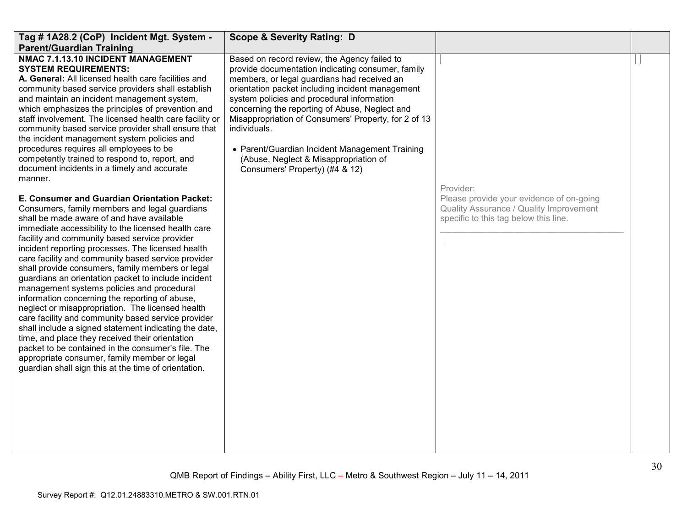| Tag # 1A28.2 (CoP) Incident Mgt. System -                                                                                                                                                                                                                                                                                                                                                                                                                                                                                                                                                                                                                                                                                                                                                                                                                                                                                                                    | <b>Scope &amp; Severity Rating: D</b>                                                                                                                                                                                                                                                                                                                                                                                                                     |                                                                                                                              |  |
|--------------------------------------------------------------------------------------------------------------------------------------------------------------------------------------------------------------------------------------------------------------------------------------------------------------------------------------------------------------------------------------------------------------------------------------------------------------------------------------------------------------------------------------------------------------------------------------------------------------------------------------------------------------------------------------------------------------------------------------------------------------------------------------------------------------------------------------------------------------------------------------------------------------------------------------------------------------|-----------------------------------------------------------------------------------------------------------------------------------------------------------------------------------------------------------------------------------------------------------------------------------------------------------------------------------------------------------------------------------------------------------------------------------------------------------|------------------------------------------------------------------------------------------------------------------------------|--|
| <b>Parent/Guardian Training</b><br>NMAC 7.1.13.10 INCIDENT MANAGEMENT                                                                                                                                                                                                                                                                                                                                                                                                                                                                                                                                                                                                                                                                                                                                                                                                                                                                                        | Based on record review, the Agency failed to                                                                                                                                                                                                                                                                                                                                                                                                              |                                                                                                                              |  |
| <b>SYSTEM REQUIREMENTS:</b><br>A. General: All licensed health care facilities and<br>community based service providers shall establish<br>and maintain an incident management system,<br>which emphasizes the principles of prevention and<br>staff involvement. The licensed health care facility or<br>community based service provider shall ensure that<br>the incident management system policies and<br>procedures requires all employees to be<br>competently trained to respond to, report, and<br>document incidents in a timely and accurate<br>manner.                                                                                                                                                                                                                                                                                                                                                                                           | provide documentation indicating consumer, family<br>members, or legal guardians had received an<br>orientation packet including incident management<br>system policies and procedural information<br>concerning the reporting of Abuse, Neglect and<br>Misappropriation of Consumers' Property, for 2 of 13<br>individuals.<br>• Parent/Guardian Incident Management Training<br>(Abuse, Neglect & Misappropriation of<br>Consumers' Property) (#4 & 12) | Provider:                                                                                                                    |  |
| E. Consumer and Guardian Orientation Packet:<br>Consumers, family members and legal guardians<br>shall be made aware of and have available<br>immediate accessibility to the licensed health care<br>facility and community based service provider<br>incident reporting processes. The licensed health<br>care facility and community based service provider<br>shall provide consumers, family members or legal<br>guardians an orientation packet to include incident<br>management systems policies and procedural<br>information concerning the reporting of abuse,<br>neglect or misappropriation. The licensed health<br>care facility and community based service provider<br>shall include a signed statement indicating the date,<br>time, and place they received their orientation<br>packet to be contained in the consumer's file. The<br>appropriate consumer, family member or legal<br>guardian shall sign this at the time of orientation. |                                                                                                                                                                                                                                                                                                                                                                                                                                                           | Please provide your evidence of on-going<br>Quality Assurance / Quality Improvement<br>specific to this tag below this line. |  |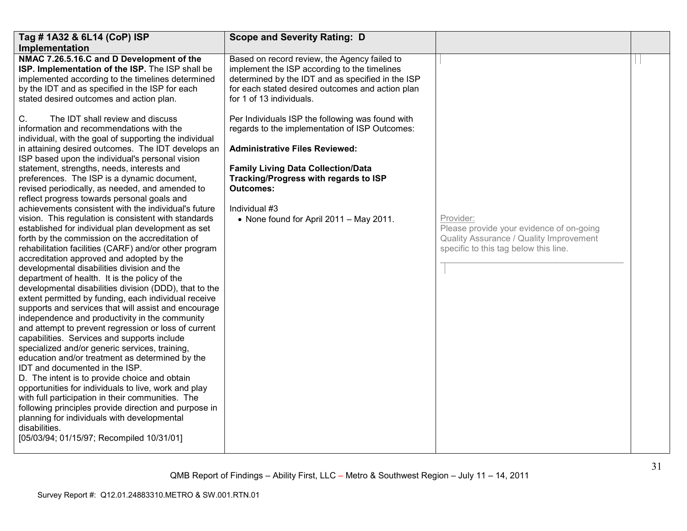| Tag # 1A32 & 6L14 (CoP) ISP                                                                                                                                                                                                                                                                                                                                                                                                                                                                                                                                                                                                                                                                                                                                                                                                                                                                                                                                                                                                                                                                                         | <b>Scope and Severity Rating: D</b>                                                                                                                                                                                               |                                                                                                                                           |  |
|---------------------------------------------------------------------------------------------------------------------------------------------------------------------------------------------------------------------------------------------------------------------------------------------------------------------------------------------------------------------------------------------------------------------------------------------------------------------------------------------------------------------------------------------------------------------------------------------------------------------------------------------------------------------------------------------------------------------------------------------------------------------------------------------------------------------------------------------------------------------------------------------------------------------------------------------------------------------------------------------------------------------------------------------------------------------------------------------------------------------|-----------------------------------------------------------------------------------------------------------------------------------------------------------------------------------------------------------------------------------|-------------------------------------------------------------------------------------------------------------------------------------------|--|
| Implementation                                                                                                                                                                                                                                                                                                                                                                                                                                                                                                                                                                                                                                                                                                                                                                                                                                                                                                                                                                                                                                                                                                      |                                                                                                                                                                                                                                   |                                                                                                                                           |  |
| NMAC 7.26.5.16.C and D Development of the<br>ISP. Implementation of the ISP. The ISP shall be<br>implemented according to the timelines determined<br>by the IDT and as specified in the ISP for each<br>stated desired outcomes and action plan.                                                                                                                                                                                                                                                                                                                                                                                                                                                                                                                                                                                                                                                                                                                                                                                                                                                                   | Based on record review, the Agency failed to<br>implement the ISP according to the timelines<br>determined by the IDT and as specified in the ISP<br>for each stated desired outcomes and action plan<br>for 1 of 13 individuals. |                                                                                                                                           |  |
| The IDT shall review and discuss<br>C.<br>information and recommendations with the<br>individual, with the goal of supporting the individual<br>in attaining desired outcomes. The IDT develops an                                                                                                                                                                                                                                                                                                                                                                                                                                                                                                                                                                                                                                                                                                                                                                                                                                                                                                                  | Per Individuals ISP the following was found with<br>regards to the implementation of ISP Outcomes:<br><b>Administrative Files Reviewed:</b>                                                                                       |                                                                                                                                           |  |
| ISP based upon the individual's personal vision                                                                                                                                                                                                                                                                                                                                                                                                                                                                                                                                                                                                                                                                                                                                                                                                                                                                                                                                                                                                                                                                     |                                                                                                                                                                                                                                   |                                                                                                                                           |  |
| statement, strengths, needs, interests and<br>preferences. The ISP is a dynamic document,<br>revised periodically, as needed, and amended to                                                                                                                                                                                                                                                                                                                                                                                                                                                                                                                                                                                                                                                                                                                                                                                                                                                                                                                                                                        | <b>Family Living Data Collection/Data</b><br>Tracking/Progress with regards to ISP<br><b>Outcomes:</b>                                                                                                                            |                                                                                                                                           |  |
| achievements consistent with the individual's future                                                                                                                                                                                                                                                                                                                                                                                                                                                                                                                                                                                                                                                                                                                                                                                                                                                                                                                                                                                                                                                                | Individual #3                                                                                                                                                                                                                     |                                                                                                                                           |  |
| reflect progress towards personal goals and<br>vision. This regulation is consistent with standards<br>established for individual plan development as set<br>forth by the commission on the accreditation of<br>rehabilitation facilities (CARF) and/or other program<br>accreditation approved and adopted by the<br>developmental disabilities division and the<br>department of health. It is the policy of the<br>developmental disabilities division (DDD), that to the<br>extent permitted by funding, each individual receive<br>supports and services that will assist and encourage<br>independence and productivity in the community<br>and attempt to prevent regression or loss of current<br>capabilities. Services and supports include<br>specialized and/or generic services, training,<br>education and/or treatment as determined by the<br>IDT and documented in the ISP.<br>D. The intent is to provide choice and obtain<br>opportunities for individuals to live, work and play<br>with full participation in their communities. The<br>following principles provide direction and purpose in | • None found for April 2011 - May 2011.                                                                                                                                                                                           | Provider:<br>Please provide your evidence of on-going<br>Quality Assurance / Quality Improvement<br>specific to this tag below this line. |  |
| planning for individuals with developmental<br>disabilities.<br>[05/03/94; 01/15/97; Recompiled 10/31/01]                                                                                                                                                                                                                                                                                                                                                                                                                                                                                                                                                                                                                                                                                                                                                                                                                                                                                                                                                                                                           |                                                                                                                                                                                                                                   |                                                                                                                                           |  |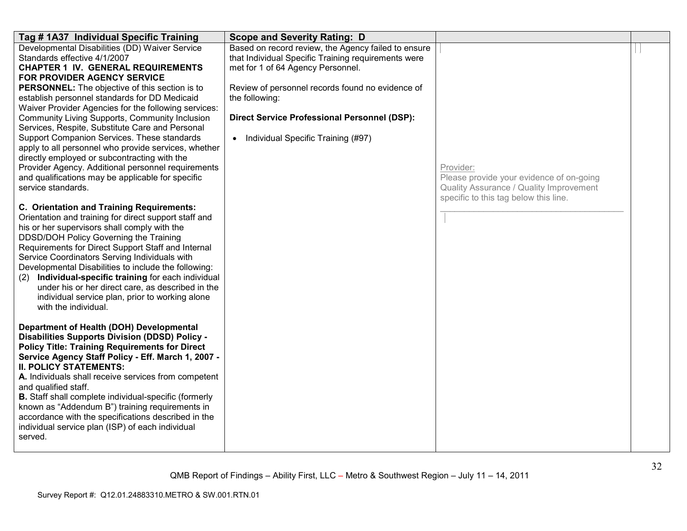| Tag # 1A37 Individual Specific Training                                                                                                                                                                                                                                                                                                                                                                                                                                                                                                                                                                                                                                                                                   | <b>Scope and Severity Rating: D</b>                                                                                                                                                                                                                                                                                             |                                                                                                                                           |  |
|---------------------------------------------------------------------------------------------------------------------------------------------------------------------------------------------------------------------------------------------------------------------------------------------------------------------------------------------------------------------------------------------------------------------------------------------------------------------------------------------------------------------------------------------------------------------------------------------------------------------------------------------------------------------------------------------------------------------------|---------------------------------------------------------------------------------------------------------------------------------------------------------------------------------------------------------------------------------------------------------------------------------------------------------------------------------|-------------------------------------------------------------------------------------------------------------------------------------------|--|
| Developmental Disabilities (DD) Waiver Service<br>Standards effective 4/1/2007<br><b>CHAPTER 1 IV. GENERAL REQUIREMENTS</b><br>FOR PROVIDER AGENCY SERVICE<br><b>PERSONNEL:</b> The objective of this section is to<br>establish personnel standards for DD Medicaid<br>Waiver Provider Agencies for the following services:<br>Community Living Supports, Community Inclusion<br>Services, Respite, Substitute Care and Personal<br>Support Companion Services. These standards<br>apply to all personnel who provide services, whether<br>directly employed or subcontracting with the<br>Provider Agency. Additional personnel requirements<br>and qualifications may be applicable for specific<br>service standards. | Based on record review, the Agency failed to ensure<br>that Individual Specific Training requirements were<br>met for 1 of 64 Agency Personnel.<br>Review of personnel records found no evidence of<br>the following:<br><b>Direct Service Professional Personnel (DSP):</b><br>Individual Specific Training (#97)<br>$\bullet$ | Provider:<br>Please provide your evidence of on-going<br>Quality Assurance / Quality Improvement<br>specific to this tag below this line. |  |
| C. Orientation and Training Requirements:<br>Orientation and training for direct support staff and<br>his or her supervisors shall comply with the<br>DDSD/DOH Policy Governing the Training<br>Requirements for Direct Support Staff and Internal<br>Service Coordinators Serving Individuals with<br>Developmental Disabilities to include the following:<br>Individual-specific training for each individual<br>(2)<br>under his or her direct care, as described in the<br>individual service plan, prior to working alone<br>with the individual.                                                                                                                                                                    |                                                                                                                                                                                                                                                                                                                                 |                                                                                                                                           |  |
| Department of Health (DOH) Developmental<br><b>Disabilities Supports Division (DDSD) Policy -</b><br><b>Policy Title: Training Requirements for Direct</b><br>Service Agency Staff Policy - Eff. March 1, 2007 -<br><b>II. POLICY STATEMENTS:</b><br>A. Individuals shall receive services from competent<br>and qualified staff.<br><b>B.</b> Staff shall complete individual-specific (formerly<br>known as "Addendum B") training requirements in<br>accordance with the specifications described in the<br>individual service plan (ISP) of each individual<br>served.                                                                                                                                                |                                                                                                                                                                                                                                                                                                                                 |                                                                                                                                           |  |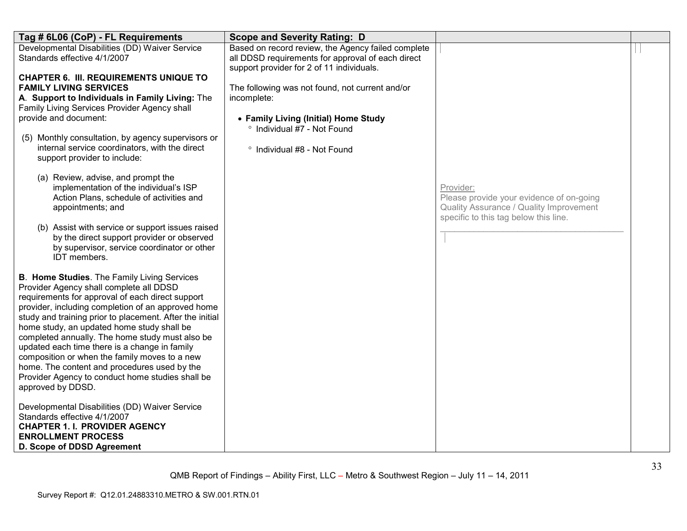| Tag # 6L06 (CoP) - FL Requirements                                                                                                                                                                                                                                                                                                                                                                                                                                                                                                                                                              | <b>Scope and Severity Rating: D</b>                                                                                                                                  |                                                                                                                                           |  |
|-------------------------------------------------------------------------------------------------------------------------------------------------------------------------------------------------------------------------------------------------------------------------------------------------------------------------------------------------------------------------------------------------------------------------------------------------------------------------------------------------------------------------------------------------------------------------------------------------|----------------------------------------------------------------------------------------------------------------------------------------------------------------------|-------------------------------------------------------------------------------------------------------------------------------------------|--|
| Developmental Disabilities (DD) Waiver Service<br>Standards effective 4/1/2007                                                                                                                                                                                                                                                                                                                                                                                                                                                                                                                  | Based on record review, the Agency failed complete<br>all DDSD requirements for approval of each direct<br>support provider for 2 of 11 individuals.                 |                                                                                                                                           |  |
| <b>CHAPTER 6. III. REQUIREMENTS UNIQUE TO</b><br><b>FAMILY LIVING SERVICES</b><br>A. Support to Individuals in Family Living: The<br>Family Living Services Provider Agency shall<br>provide and document:<br>Monthly consultation, by agency supervisors or<br>(5)<br>internal service coordinators, with the direct<br>support provider to include:                                                                                                                                                                                                                                           | The following was not found, not current and/or<br>incomplete:<br>• Family Living (Initial) Home Study<br>° Individual #7 - Not Found<br>° Individual #8 - Not Found |                                                                                                                                           |  |
| (a) Review, advise, and prompt the<br>implementation of the individual's ISP<br>Action Plans, schedule of activities and<br>appointments; and<br>(b) Assist with service or support issues raised<br>by the direct support provider or observed<br>by supervisor, service coordinator or other<br>IDT members.                                                                                                                                                                                                                                                                                  |                                                                                                                                                                      | Provider:<br>Please provide your evidence of on-going<br>Quality Assurance / Quality Improvement<br>specific to this tag below this line. |  |
| <b>B. Home Studies.</b> The Family Living Services<br>Provider Agency shall complete all DDSD<br>requirements for approval of each direct support<br>provider, including completion of an approved home<br>study and training prior to placement. After the initial<br>home study, an updated home study shall be<br>completed annually. The home study must also be<br>updated each time there is a change in family<br>composition or when the family moves to a new<br>home. The content and procedures used by the<br>Provider Agency to conduct home studies shall be<br>approved by DDSD. |                                                                                                                                                                      |                                                                                                                                           |  |
| Developmental Disabilities (DD) Waiver Service<br>Standards effective 4/1/2007<br><b>CHAPTER 1. I. PROVIDER AGENCY</b><br><b>ENROLLMENT PROCESS</b><br>D. Scope of DDSD Agreement                                                                                                                                                                                                                                                                                                                                                                                                               |                                                                                                                                                                      |                                                                                                                                           |  |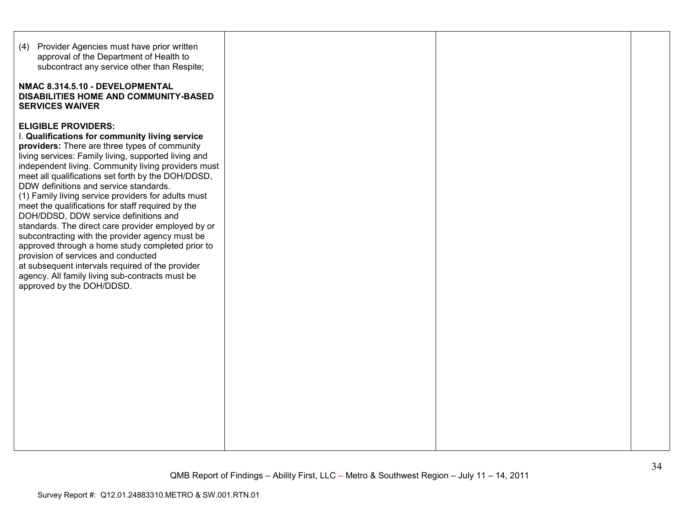| (4) Provider Agencies must have prior written<br>approval of the Department of Health to<br>subcontract any service other than Respite;<br>NMAC 8.314.5.10 - DEVELOPMENTAL<br>DISABILITIES HOME AND COMMUNITY-BASED<br><b>SERVICES WAIVER</b>                                                                                                                                                                                                                                                                                                                                                                                                                                                                                                                                                                                             |  |  |
|-------------------------------------------------------------------------------------------------------------------------------------------------------------------------------------------------------------------------------------------------------------------------------------------------------------------------------------------------------------------------------------------------------------------------------------------------------------------------------------------------------------------------------------------------------------------------------------------------------------------------------------------------------------------------------------------------------------------------------------------------------------------------------------------------------------------------------------------|--|--|
| <b>ELIGIBLE PROVIDERS:</b><br>I. Qualifications for community living service<br>providers: There are three types of community<br>living services: Family living, supported living and<br>independent living. Community living providers must<br>meet all qualifications set forth by the DOH/DDSD,<br>DDW definitions and service standards.<br>(1) Family living service providers for adults must<br>meet the qualifications for staff required by the<br>DOH/DDSD, DDW service definitions and<br>standards. The direct care provider employed by or<br>subcontracting with the provider agency must be<br>approved through a home study completed prior to<br>provision of services and conducted<br>at subsequent intervals required of the provider<br>agency. All family living sub-contracts must be<br>approved by the DOH/DDSD. |  |  |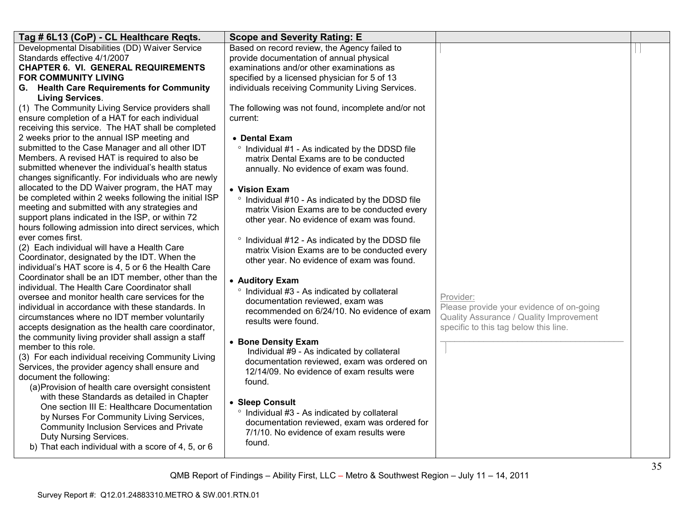| Tag # 6L13 (CoP) - CL Healthcare Regts.                                                                  | <b>Scope and Severity Rating: E</b>                                             |                                          |  |
|----------------------------------------------------------------------------------------------------------|---------------------------------------------------------------------------------|------------------------------------------|--|
| Developmental Disabilities (DD) Waiver Service                                                           | Based on record review, the Agency failed to                                    |                                          |  |
| Standards effective 4/1/2007                                                                             | provide documentation of annual physical                                        |                                          |  |
| <b>CHAPTER 6. VI. GENERAL REQUIREMENTS</b>                                                               | examinations and/or other examinations as                                       |                                          |  |
| <b>FOR COMMUNITY LIVING</b>                                                                              | specified by a licensed physician for 5 of 13                                   |                                          |  |
| G. Health Care Requirements for Community                                                                | individuals receiving Community Living Services.                                |                                          |  |
| <b>Living Services.</b>                                                                                  |                                                                                 |                                          |  |
| (1) The Community Living Service providers shall                                                         | The following was not found, incomplete and/or not                              |                                          |  |
| ensure completion of a HAT for each individual                                                           | current:                                                                        |                                          |  |
| receiving this service. The HAT shall be completed                                                       |                                                                                 |                                          |  |
| 2 weeks prior to the annual ISP meeting and                                                              | • Dental Exam                                                                   |                                          |  |
| submitted to the Case Manager and all other IDT                                                          | ° Individual #1 - As indicated by the DDSD file                                 |                                          |  |
| Members. A revised HAT is required to also be                                                            | matrix Dental Exams are to be conducted                                         |                                          |  |
| submitted whenever the individual's health status                                                        | annually. No evidence of exam was found.                                        |                                          |  |
| changes significantly. For individuals who are newly                                                     |                                                                                 |                                          |  |
| allocated to the DD Waiver program, the HAT may<br>be completed within 2 weeks following the initial ISP | • Vision Exam                                                                   |                                          |  |
| meeting and submitted with any strategies and                                                            | ° Individual #10 - As indicated by the DDSD file                                |                                          |  |
| support plans indicated in the ISP, or within 72                                                         | matrix Vision Exams are to be conducted every                                   |                                          |  |
| hours following admission into direct services, which                                                    | other year. No evidence of exam was found.                                      |                                          |  |
| ever comes first.                                                                                        |                                                                                 |                                          |  |
| (2) Each individual will have a Health Care                                                              | ° Individual #12 - As indicated by the DDSD file                                |                                          |  |
| Coordinator, designated by the IDT. When the                                                             | matrix Vision Exams are to be conducted every                                   |                                          |  |
| individual's HAT score is 4, 5 or 6 the Health Care                                                      | other year. No evidence of exam was found.                                      |                                          |  |
| Coordinator shall be an IDT member, other than the                                                       |                                                                                 |                                          |  |
| individual. The Health Care Coordinator shall                                                            | • Auditory Exam                                                                 |                                          |  |
| oversee and monitor health care services for the                                                         | ° Individual #3 - As indicated by collateral                                    | Provider:                                |  |
| individual in accordance with these standards. In                                                        | documentation reviewed, exam was<br>recommended on 6/24/10. No evidence of exam | Please provide your evidence of on-going |  |
| circumstances where no IDT member voluntarily                                                            | results were found.                                                             | Quality Assurance / Quality Improvement  |  |
| accepts designation as the health care coordinator,                                                      |                                                                                 | specific to this tag below this line.    |  |
| the community living provider shall assign a staff                                                       | • Bone Density Exam                                                             |                                          |  |
| member to this role.                                                                                     | Individual #9 - As indicated by collateral                                      |                                          |  |
| (3) For each individual receiving Community Living                                                       | documentation reviewed, exam was ordered on                                     |                                          |  |
| Services, the provider agency shall ensure and                                                           | 12/14/09. No evidence of exam results were                                      |                                          |  |
| document the following:                                                                                  | found.                                                                          |                                          |  |
| (a) Provision of health care oversight consistent                                                        |                                                                                 |                                          |  |
| with these Standards as detailed in Chapter                                                              | • Sleep Consult                                                                 |                                          |  |
| One section III E: Healthcare Documentation                                                              | ° Individual #3 - As indicated by collateral                                    |                                          |  |
| by Nurses For Community Living Services,                                                                 | documentation reviewed, exam was ordered for                                    |                                          |  |
| Community Inclusion Services and Private                                                                 | 7/1/10. No evidence of exam results were                                        |                                          |  |
| Duty Nursing Services.                                                                                   | found.                                                                          |                                          |  |
| b) That each individual with a score of 4, 5, or 6                                                       |                                                                                 |                                          |  |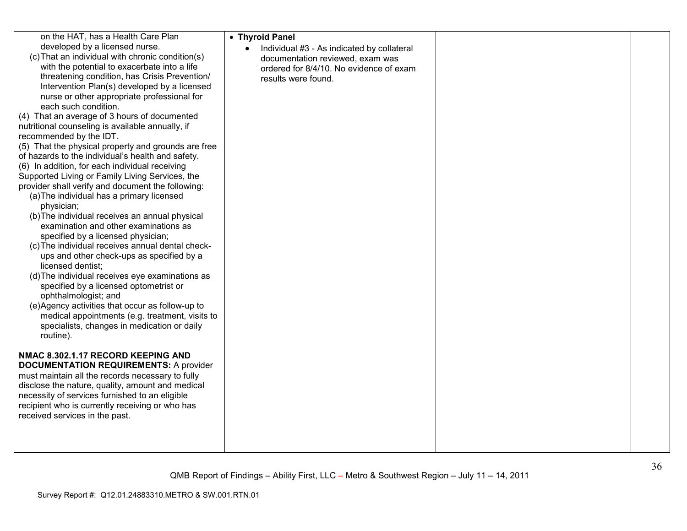| on the HAT, has a Health Care Plan<br>developed by a licensed nurse.<br>(c) That an individual with chronic condition(s)<br>with the potential to exacerbate into a life<br>threatening condition, has Crisis Prevention/<br>Intervention Plan(s) developed by a licensed<br>nurse or other appropriate professional for<br>each such condition.<br>(4) That an average of 3 hours of documented<br>nutritional counseling is available annually, if<br>recommended by the IDT.<br>(5) That the physical property and grounds are free<br>of hazards to the individual's health and safety.<br>(6) In addition, for each individual receiving<br>Supported Living or Family Living Services, the<br>provider shall verify and document the following:<br>(a) The individual has a primary licensed<br>physician;<br>(b) The individual receives an annual physical<br>examination and other examinations as<br>specified by a licensed physician;<br>(c) The individual receives annual dental check-<br>ups and other check-ups as specified by a<br>licensed dentist;<br>(d) The individual receives eye examinations as<br>specified by a licensed optometrist or<br>ophthalmologist; and<br>(e)Agency activities that occur as follow-up to<br>medical appointments (e.g. treatment, visits to<br>specialists, changes in medication or daily<br>routine).<br><b>NMAC 8.302.1.17 RECORD KEEPING AND</b><br><b>DOCUMENTATION REQUIREMENTS: A provider</b><br>must maintain all the records necessary to fully<br>disclose the nature, quality, amount and medical<br>necessity of services furnished to an eligible<br>recipient who is currently receiving or who has<br>received services in the past. | • Thyroid Panel<br>Individual #3 - As indicated by collateral<br>documentation reviewed, exam was<br>ordered for 8/4/10. No evidence of exam<br>results were found. |  |
|-------------------------------------------------------------------------------------------------------------------------------------------------------------------------------------------------------------------------------------------------------------------------------------------------------------------------------------------------------------------------------------------------------------------------------------------------------------------------------------------------------------------------------------------------------------------------------------------------------------------------------------------------------------------------------------------------------------------------------------------------------------------------------------------------------------------------------------------------------------------------------------------------------------------------------------------------------------------------------------------------------------------------------------------------------------------------------------------------------------------------------------------------------------------------------------------------------------------------------------------------------------------------------------------------------------------------------------------------------------------------------------------------------------------------------------------------------------------------------------------------------------------------------------------------------------------------------------------------------------------------------------------------------------------------------------------------------------|---------------------------------------------------------------------------------------------------------------------------------------------------------------------|--|
|                                                                                                                                                                                                                                                                                                                                                                                                                                                                                                                                                                                                                                                                                                                                                                                                                                                                                                                                                                                                                                                                                                                                                                                                                                                                                                                                                                                                                                                                                                                                                                                                                                                                                                             |                                                                                                                                                                     |  |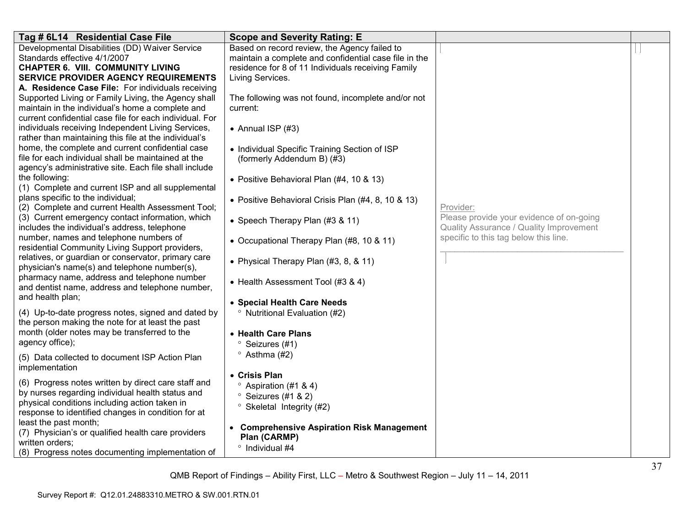| Tag # 6L14 Residential Case File                                                                       | <b>Scope and Severity Rating: E</b>                   |                                          |  |
|--------------------------------------------------------------------------------------------------------|-------------------------------------------------------|------------------------------------------|--|
| Developmental Disabilities (DD) Waiver Service                                                         | Based on record review, the Agency failed to          |                                          |  |
| Standards effective 4/1/2007                                                                           | maintain a complete and confidential case file in the |                                          |  |
| <b>CHAPTER 6. VIII. COMMUNITY LIVING</b>                                                               | residence for 8 of 11 Individuals receiving Family    |                                          |  |
| <b>SERVICE PROVIDER AGENCY REQUIREMENTS</b>                                                            | Living Services.                                      |                                          |  |
| A. Residence Case File: For individuals receiving                                                      |                                                       |                                          |  |
| Supported Living or Family Living, the Agency shall                                                    | The following was not found, incomplete and/or not    |                                          |  |
| maintain in the individual's home a complete and                                                       | current:                                              |                                          |  |
| current confidential case file for each individual. For                                                |                                                       |                                          |  |
| individuals receiving Independent Living Services,                                                     | • Annual ISP $(#3)$                                   |                                          |  |
| rather than maintaining this file at the individual's                                                  |                                                       |                                          |  |
| home, the complete and current confidential case                                                       | • Individual Specific Training Section of ISP         |                                          |  |
| file for each individual shall be maintained at the                                                    | (formerly Addendum B) (#3)                            |                                          |  |
| agency's administrative site. Each file shall include                                                  |                                                       |                                          |  |
| the following:                                                                                         | • Positive Behavioral Plan (#4, 10 & 13)              |                                          |  |
| (1) Complete and current ISP and all supplemental<br>plans specific to the individual;                 |                                                       |                                          |  |
| (2) Complete and current Health Assessment Tool;                                                       | • Positive Behavioral Crisis Plan (#4, 8, 10 & 13)    | Provider:                                |  |
| (3) Current emergency contact information, which                                                       |                                                       | Please provide your evidence of on-going |  |
| includes the individual's address, telephone                                                           | • Speech Therapy Plan (#3 & 11)                       | Quality Assurance / Quality Improvement  |  |
| number, names and telephone numbers of                                                                 |                                                       | specific to this tag below this line.    |  |
| residential Community Living Support providers,                                                        | • Occupational Therapy Plan (#8, 10 & 11)             |                                          |  |
| relatives, or guardian or conservator, primary care                                                    |                                                       |                                          |  |
| physician's name(s) and telephone number(s),                                                           | • Physical Therapy Plan (#3, 8, & 11)                 |                                          |  |
| pharmacy name, address and telephone number                                                            |                                                       |                                          |  |
| and dentist name, address and telephone number,                                                        | • Health Assessment Tool (#3 & 4)                     |                                          |  |
| and health plan;                                                                                       |                                                       |                                          |  |
|                                                                                                        | • Special Health Care Needs                           |                                          |  |
| (4) Up-to-date progress notes, signed and dated by<br>the person making the note for at least the past | <sup>o</sup> Nutritional Evaluation (#2)              |                                          |  |
| month (older notes may be transferred to the                                                           | • Health Care Plans                                   |                                          |  |
| agency office);                                                                                        |                                                       |                                          |  |
|                                                                                                        | Seizures (#1)                                         |                                          |  |
| (5) Data collected to document ISP Action Plan                                                         | $\degree$ Asthma (#2)                                 |                                          |  |
| implementation                                                                                         | • Crisis Plan                                         |                                          |  |
| (6) Progress notes written by direct care staff and                                                    |                                                       |                                          |  |
| by nurses regarding individual health status and                                                       | $\degree$ Aspiration (#1 & 4)                         |                                          |  |
| physical conditions including action taken in                                                          | $\degree$ Seizures (#1 & 2)                           |                                          |  |
| response to identified changes in condition for at                                                     | ° Skeletal Integrity (#2)                             |                                          |  |
| least the past month;                                                                                  |                                                       |                                          |  |
| (7) Physician's or qualified health care providers                                                     | <b>Comprehensive Aspiration Risk Management</b>       |                                          |  |
| written orders;                                                                                        | Plan (CARMP)<br><sup>o</sup> Individual #4            |                                          |  |
| (8) Progress notes documenting implementation of                                                       |                                                       |                                          |  |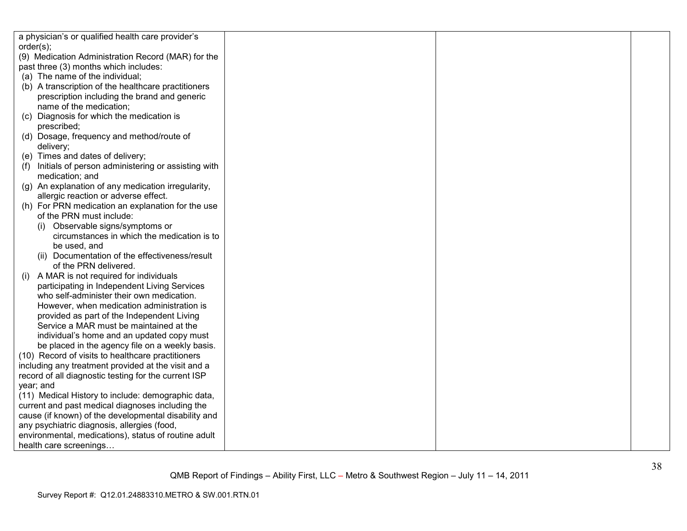| a physician's or qualified health care provider's         |  |  |
|-----------------------------------------------------------|--|--|
| order(s);                                                 |  |  |
| (9) Medication Administration Record (MAR) for the        |  |  |
| past three (3) months which includes:                     |  |  |
| (a) The name of the individual;                           |  |  |
| (b) A transcription of the healthcare practitioners       |  |  |
| prescription including the brand and generic              |  |  |
| name of the medication;                                   |  |  |
| Diagnosis for which the medication is<br>(C)              |  |  |
| prescribed;                                               |  |  |
| (d) Dosage, frequency and method/route of                 |  |  |
| delivery;                                                 |  |  |
| (e) Times and dates of delivery;                          |  |  |
| Initials of person administering or assisting with<br>(f) |  |  |
| medication; and                                           |  |  |
| (g) An explanation of any medication irregularity,        |  |  |
| allergic reaction or adverse effect.                      |  |  |
| (h) For PRN medication an explanation for the use         |  |  |
| of the PRN must include:                                  |  |  |
| (i) Observable signs/symptoms or                          |  |  |
| circumstances in which the medication is to               |  |  |
| be used, and                                              |  |  |
| (ii) Documentation of the effectiveness/result            |  |  |
| of the PRN delivered.                                     |  |  |
| A MAR is not required for individuals<br>(i)              |  |  |
| participating in Independent Living Services              |  |  |
| who self-administer their own medication.                 |  |  |
| However, when medication administration is                |  |  |
| provided as part of the Independent Living                |  |  |
| Service a MAR must be maintained at the                   |  |  |
| individual's home and an updated copy must                |  |  |
| be placed in the agency file on a weekly basis.           |  |  |
| (10) Record of visits to healthcare practitioners         |  |  |
| including any treatment provided at the visit and a       |  |  |
| record of all diagnostic testing for the current ISP      |  |  |
| year; and                                                 |  |  |
| (11) Medical History to include: demographic data,        |  |  |
| current and past medical diagnoses including the          |  |  |
| cause (if known) of the developmental disability and      |  |  |
| any psychiatric diagnosis, allergies (food,               |  |  |
| environmental, medications), status of routine adult      |  |  |
| health care screenings                                    |  |  |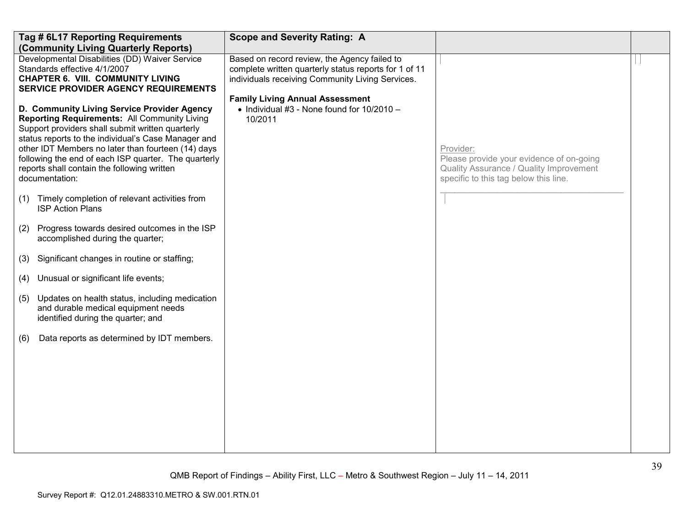|     | Tag # 6L17 Reporting Requirements<br>(Community Living Quarterly Reports)                                                                                                                                                                                                                                                                                                                    | <b>Scope and Severity Rating: A</b>                                                                                                                       |                                                                                                                                           |  |
|-----|----------------------------------------------------------------------------------------------------------------------------------------------------------------------------------------------------------------------------------------------------------------------------------------------------------------------------------------------------------------------------------------------|-----------------------------------------------------------------------------------------------------------------------------------------------------------|-------------------------------------------------------------------------------------------------------------------------------------------|--|
|     | Developmental Disabilities (DD) Waiver Service<br>Standards effective 4/1/2007<br><b>CHAPTER 6. VIII. COMMUNITY LIVING</b><br><b>SERVICE PROVIDER AGENCY REQUIREMENTS</b>                                                                                                                                                                                                                    | Based on record review, the Agency failed to<br>complete written quarterly status reports for 1 of 11<br>individuals receiving Community Living Services. |                                                                                                                                           |  |
|     | D. Community Living Service Provider Agency<br><b>Reporting Requirements: All Community Living</b><br>Support providers shall submit written quarterly<br>status reports to the individual's Case Manager and<br>other IDT Members no later than fourteen (14) days<br>following the end of each ISP quarter. The quarterly<br>reports shall contain the following written<br>documentation: | <b>Family Living Annual Assessment</b><br>$\bullet$ Individual #3 - None found for 10/2010 -<br>10/2011                                                   | Provider:<br>Please provide your evidence of on-going<br>Quality Assurance / Quality Improvement<br>specific to this tag below this line. |  |
| (1) | Timely completion of relevant activities from<br><b>ISP Action Plans</b>                                                                                                                                                                                                                                                                                                                     |                                                                                                                                                           |                                                                                                                                           |  |
| (2) | Progress towards desired outcomes in the ISP<br>accomplished during the quarter;                                                                                                                                                                                                                                                                                                             |                                                                                                                                                           |                                                                                                                                           |  |
| (3) | Significant changes in routine or staffing;                                                                                                                                                                                                                                                                                                                                                  |                                                                                                                                                           |                                                                                                                                           |  |
| (4) | Unusual or significant life events;                                                                                                                                                                                                                                                                                                                                                          |                                                                                                                                                           |                                                                                                                                           |  |
| (5) | Updates on health status, including medication<br>and durable medical equipment needs<br>identified during the quarter; and                                                                                                                                                                                                                                                                  |                                                                                                                                                           |                                                                                                                                           |  |
| (6) | Data reports as determined by IDT members.                                                                                                                                                                                                                                                                                                                                                   |                                                                                                                                                           |                                                                                                                                           |  |
|     |                                                                                                                                                                                                                                                                                                                                                                                              |                                                                                                                                                           |                                                                                                                                           |  |
|     |                                                                                                                                                                                                                                                                                                                                                                                              |                                                                                                                                                           |                                                                                                                                           |  |
|     |                                                                                                                                                                                                                                                                                                                                                                                              |                                                                                                                                                           |                                                                                                                                           |  |
|     |                                                                                                                                                                                                                                                                                                                                                                                              |                                                                                                                                                           |                                                                                                                                           |  |
|     |                                                                                                                                                                                                                                                                                                                                                                                              |                                                                                                                                                           |                                                                                                                                           |  |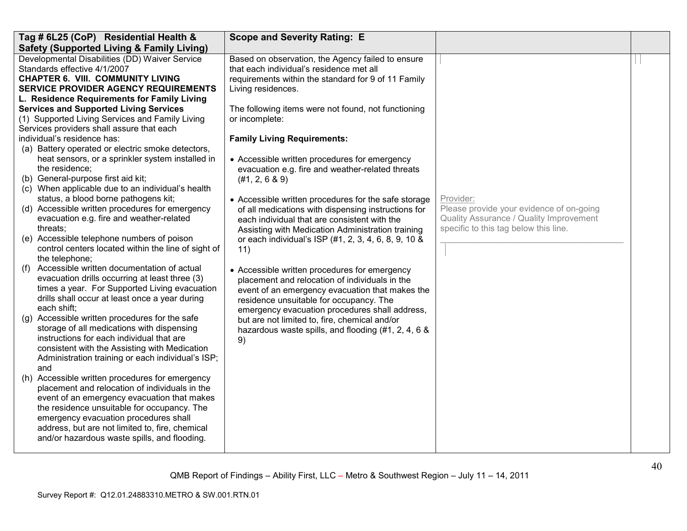| Tag # 6L25 (CoP) Residential Health &                                                                                                                                     | <b>Scope and Severity Rating: E</b>                                                                                                                                        |                                                                                  |  |
|---------------------------------------------------------------------------------------------------------------------------------------------------------------------------|----------------------------------------------------------------------------------------------------------------------------------------------------------------------------|----------------------------------------------------------------------------------|--|
| <b>Safety (Supported Living &amp; Family Living)</b>                                                                                                                      |                                                                                                                                                                            |                                                                                  |  |
| Developmental Disabilities (DD) Waiver Service<br>Standards effective 4/1/2007<br><b>CHAPTER 6. VIII. COMMUNITY LIVING</b><br><b>SERVICE PROVIDER AGENCY REQUIREMENTS</b> | Based on observation, the Agency failed to ensure<br>that each individual's residence met all<br>requirements within the standard for 9 of 11 Family<br>Living residences. |                                                                                  |  |
| L. Residence Requirements for Family Living                                                                                                                               |                                                                                                                                                                            |                                                                                  |  |
| <b>Services and Supported Living Services</b>                                                                                                                             | The following items were not found, not functioning                                                                                                                        |                                                                                  |  |
| (1) Supported Living Services and Family Living<br>Services providers shall assure that each                                                                              | or incomplete:                                                                                                                                                             |                                                                                  |  |
| individual's residence has:                                                                                                                                               | <b>Family Living Requirements:</b>                                                                                                                                         |                                                                                  |  |
| (a) Battery operated or electric smoke detectors,                                                                                                                         |                                                                                                                                                                            |                                                                                  |  |
| heat sensors, or a sprinkler system installed in<br>the residence;                                                                                                        | • Accessible written procedures for emergency<br>evacuation e.g. fire and weather-related threats                                                                          |                                                                                  |  |
| (b) General-purpose first aid kit;                                                                                                                                        | (#1, 2, 6 & 9)                                                                                                                                                             |                                                                                  |  |
| (c) When applicable due to an individual's health                                                                                                                         |                                                                                                                                                                            |                                                                                  |  |
| status, a blood borne pathogens kit;                                                                                                                                      | • Accessible written procedures for the safe storage                                                                                                                       | Provider:                                                                        |  |
| (d) Accessible written procedures for emergency                                                                                                                           | of all medications with dispensing instructions for                                                                                                                        | Please provide your evidence of on-going                                         |  |
| evacuation e.g. fire and weather-related<br>threats;                                                                                                                      | each individual that are consistent with the                                                                                                                               | Quality Assurance / Quality Improvement<br>specific to this tag below this line. |  |
| (e) Accessible telephone numbers of poison                                                                                                                                | Assisting with Medication Administration training<br>or each individual's ISP (#1, 2, 3, 4, 6, 8, 9, 10 &                                                                  |                                                                                  |  |
| control centers located within the line of sight of                                                                                                                       | 11)                                                                                                                                                                        |                                                                                  |  |
| the telephone;                                                                                                                                                            |                                                                                                                                                                            |                                                                                  |  |
| Accessible written documentation of actual<br>(f)                                                                                                                         | • Accessible written procedures for emergency                                                                                                                              |                                                                                  |  |
| evacuation drills occurring at least three (3)                                                                                                                            | placement and relocation of individuals in the                                                                                                                             |                                                                                  |  |
| times a year. For Supported Living evacuation                                                                                                                             | event of an emergency evacuation that makes the                                                                                                                            |                                                                                  |  |
| drills shall occur at least once a year during<br>each shift;                                                                                                             | residence unsuitable for occupancy. The                                                                                                                                    |                                                                                  |  |
| (g) Accessible written procedures for the safe                                                                                                                            | emergency evacuation procedures shall address,                                                                                                                             |                                                                                  |  |
| storage of all medications with dispensing                                                                                                                                | but are not limited to, fire, chemical and/or<br>hazardous waste spills, and flooding (#1, 2, 4, 6 &                                                                       |                                                                                  |  |
| instructions for each individual that are                                                                                                                                 | 9)                                                                                                                                                                         |                                                                                  |  |
| consistent with the Assisting with Medication                                                                                                                             |                                                                                                                                                                            |                                                                                  |  |
| Administration training or each individual's ISP;                                                                                                                         |                                                                                                                                                                            |                                                                                  |  |
| and                                                                                                                                                                       |                                                                                                                                                                            |                                                                                  |  |
| (h) Accessible written procedures for emergency                                                                                                                           |                                                                                                                                                                            |                                                                                  |  |
| placement and relocation of individuals in the                                                                                                                            |                                                                                                                                                                            |                                                                                  |  |
| event of an emergency evacuation that makes<br>the residence unsuitable for occupancy. The                                                                                |                                                                                                                                                                            |                                                                                  |  |
| emergency evacuation procedures shall                                                                                                                                     |                                                                                                                                                                            |                                                                                  |  |
| address, but are not limited to, fire, chemical                                                                                                                           |                                                                                                                                                                            |                                                                                  |  |
| and/or hazardous waste spills, and flooding.                                                                                                                              |                                                                                                                                                                            |                                                                                  |  |
|                                                                                                                                                                           |                                                                                                                                                                            |                                                                                  |  |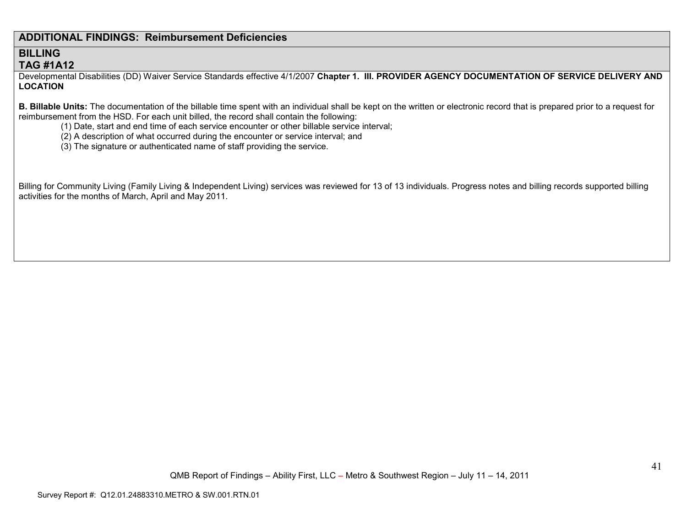# **ADDITIONAL FINDINGS: Reimbursement Deficiencies**

# **BILLING TAG #1A12**

 Developmental Disabilities (DD) Waiver Service Standards effective 4/1/2007 **Chapter 1. III. PROVIDER AGENCY DOCUMENTATION OF SERVICE DELIVERY AND LOCATION** 

**B. Billable Units:** The documentation of the billable time spent with an individual shall be kept on the written or electronic record that is prepared prior to a request for reimbursement from the HSD. For each unit billed, the record shall contain the following:

- (1) Date, start and end time of each service encounter or other billable service interval;
- (2) A description of what occurred during the encounter or service interval; and
- (3) The signature or authenticated name of staff providing the service.

Billing for Community Living (Family Living & Independent Living) services was reviewed for 13 of 13 individuals. Progress notes and billing records supported billing activities for the months of March, April and May 2011.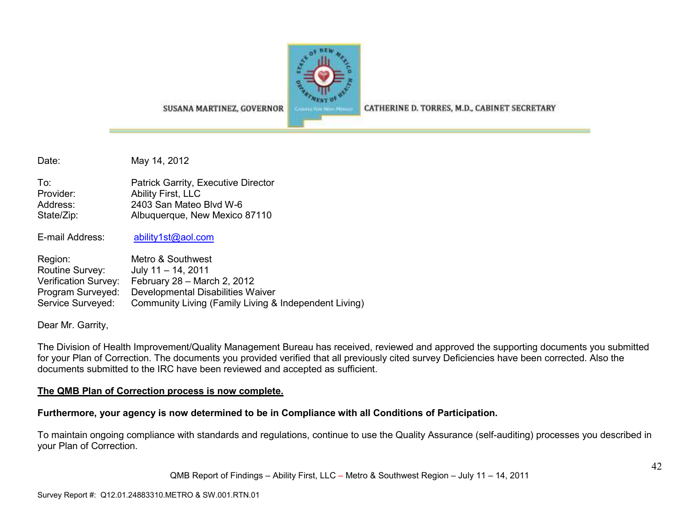

SUSANA MARTINEZ, GOVERNOR

CATHERINE D. TORRES, M.D., CABINET SECRETARY

Date: May 14, 2012

| To:        | Patrick Garrity, Executive Director |
|------------|-------------------------------------|
| Provider:  | Ability First, LLC                  |
| Address:   | 2403 San Mateo Blvd W-6             |
| State/Zip: | Albuquerque, New Mexico 87110       |

E-mail Address: ability1st@aol.com

| Region:              | Metro & Southwest                                     |
|----------------------|-------------------------------------------------------|
| Routine Survey:      | July $11 - 14$ , 2011                                 |
| Verification Survey: | February $28 -$ March 2, 2012                         |
| Program Surveyed:    | Developmental Disabilities Waiver                     |
| Service Surveyed:    | Community Living (Family Living & Independent Living) |

Dear Mr. Garrity,

The Division of Health Improvement/Quality Management Bureau has received, reviewed and approved the supporting documents you submitted for your Plan of Correction. The documents you provided verified that all previously cited survey Deficiencies have been corrected. Also the documents submitted to the IRC have been reviewed and accepted as sufficient.

### **The QMB Plan of Correction process is now complete.**

### **Furthermore, your agency is now determined to be in Compliance with all Conditions of Participation.**

To maintain ongoing compliance with standards and regulations, continue to use the Quality Assurance (self-auditing) processes you described in your Plan of Correction.